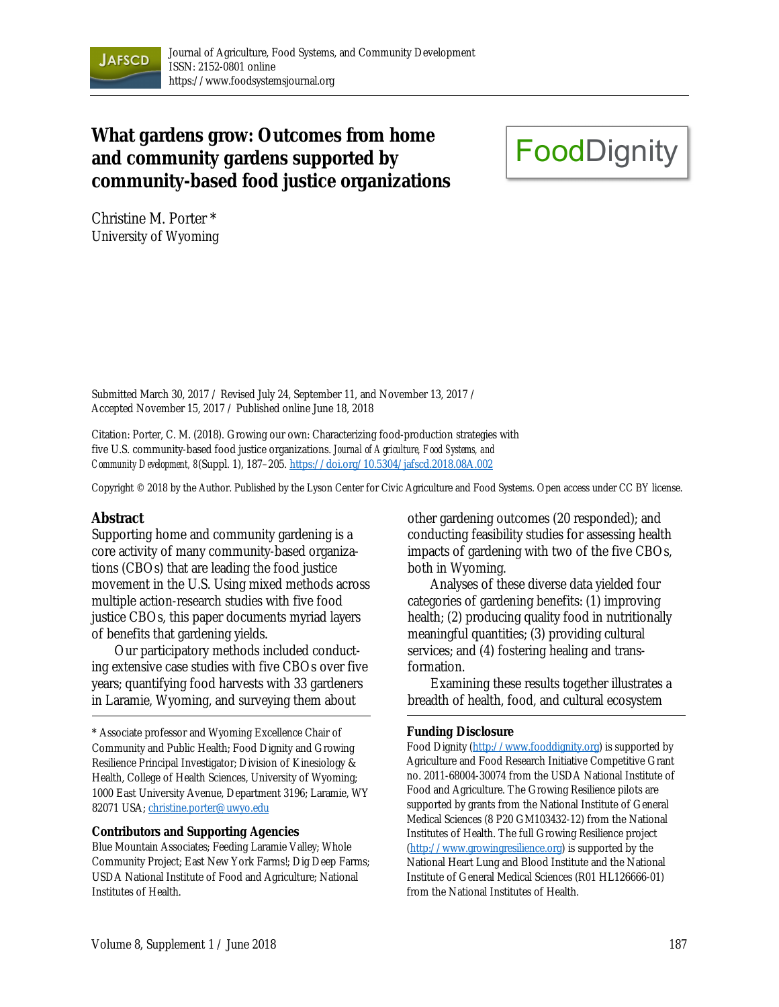

# **What gardens grow: Outcomes from home and community gardens supported by community-based food justice organizations**

# **FoodDignity**

Christine M. Porter \* University of Wyoming

Submitted March 30, 2017 / Revised July 24, September 11, and November 13, 2017 / Accepted November 15, 2017 / Published online June 18, 2018

Citation: Porter, C. M. (2018). Growing our own: Characterizing food-production strategies with five U.S. community-based food justice organizations. *Journal of Agriculture, Food Systems, and Community Development, 8*(Suppl. 1), 187–205. https://doi.org/10.5304/jafscd.2018.08A.002

Copyright © 2018 by the Author. Published by the Lyson Center for Civic Agriculture and Food Systems. Open access under CC BY license.

### **Abstract**

Supporting home and community gardening is a core activity of many community-based organizations (CBOs) that are leading the food justice movement in the U.S. Using mixed methods across multiple action-research studies with five food justice CBOs, this paper documents myriad layers of benefits that gardening yields.

 Our participatory methods included conducting extensive case studies with five CBOs over five years; quantifying food harvests with 33 gardeners in Laramie, Wyoming, and surveying them about

\* Associate professor and Wyoming Excellence Chair of Community and Public Health; Food Dignity and Growing Resilience Principal Investigator; Division of Kinesiology & Health, College of Health Sciences, University of Wyoming; 1000 East University Avenue, Department 3196; Laramie, WY 82071 USA; christine.porter@uwyo.edu

#### **Contributors and Supporting Agencies**

Blue Mountain Associates; Feeding Laramie Valley; Whole Community Project; East New York Farms!; Dig Deep Farms; USDA National Institute of Food and Agriculture; National Institutes of Health.

other gardening outcomes (20 responded); and conducting feasibility studies for assessing health impacts of gardening with two of the five CBOs, both in Wyoming.

 Analyses of these diverse data yielded four categories of gardening benefits: (1) improving health; (2) producing quality food in nutritionally meaningful quantities; (3) providing cultural services; and (4) fostering healing and transformation.

 Examining these results together illustrates a breadth of health, food, and cultural ecosystem

#### **Funding Disclosure**

Food Dignity (http://www.fooddignity.org) is supported by Agriculture and Food Research Initiative Competitive Grant no. 2011-68004-30074 from the USDA National Institute of Food and Agriculture. The Growing Resilience pilots are supported by grants from the National Institute of General Medical Sciences (8 P20 GM103432-12) from the National Institutes of Health. The full Growing Resilience project (http://www.growingresilience.org) is supported by the National Heart Lung and Blood Institute and the National Institute of General Medical Sciences (R01 HL126666-01) from the National Institutes of Health.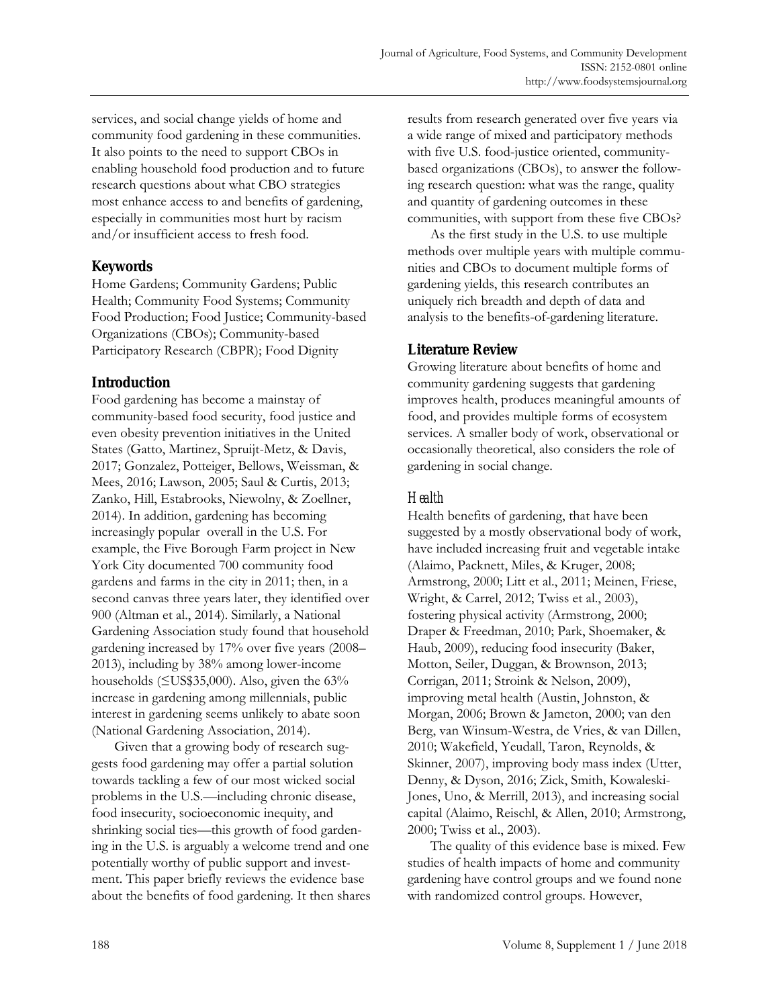services, and social change yields of home and community food gardening in these communities. It also points to the need to support CBOs in enabling household food production and to future research questions about what CBO strategies most enhance access to and benefits of gardening, especially in communities most hurt by racism and/or insufficient access to fresh food.

# **Keywords**

Home Gardens; Community Gardens; Public Health; Community Food Systems; Community Food Production; Food Justice; Community-based Organizations (CBOs); Community-based Participatory Research (CBPR); Food Dignity

# **Introduction**

Food gardening has become a mainstay of community-based food security, food justice and even obesity prevention initiatives in the United States (Gatto, Martinez, Spruijt-Metz, & Davis, 2017; Gonzalez, Potteiger, Bellows, Weissman, & Mees, 2016; Lawson, 2005; Saul & Curtis, 2013; Zanko, Hill, Estabrooks, Niewolny, & Zoellner, 2014). In addition, gardening has becoming increasingly popular overall in the U.S. For example, the Five Borough Farm project in New York City documented 700 community food gardens and farms in the city in 2011; then, in a second canvas three years later, they identified over 900 (Altman et al., 2014). Similarly, a National Gardening Association study found that household gardening increased by 17% over five years (2008– 2013), including by 38% among lower-income households (≤US\$35,000). Also, given the 63% increase in gardening among millennials, public interest in gardening seems unlikely to abate soon (National Gardening Association, 2014).

 Given that a growing body of research suggests food gardening may offer a partial solution towards tackling a few of our most wicked social problems in the U.S.—including chronic disease, food insecurity, socioeconomic inequity, and shrinking social ties—this growth of food gardening in the U.S. is arguably a welcome trend and one potentially worthy of public support and investment. This paper briefly reviews the evidence base about the benefits of food gardening. It then shares results from research generated over five years via a wide range of mixed and participatory methods with five U.S. food-justice oriented, communitybased organizations (CBOs), to answer the following research question: what was the range, quality and quantity of gardening outcomes in these communities, with support from these five CBOs?

 As the first study in the U.S. to use multiple methods over multiple years with multiple communities and CBOs to document multiple forms of gardening yields, this research contributes an uniquely rich breadth and depth of data and analysis to the benefits-of-gardening literature.

# **Literature Review**

Growing literature about benefits of home and community gardening suggests that gardening improves health, produces meaningful amounts of food, and provides multiple forms of ecosystem services. A smaller body of work, observational or occasionally theoretical, also considers the role of gardening in social change.

# *Health*

Health benefits of gardening, that have been suggested by a mostly observational body of work, have included increasing fruit and vegetable intake (Alaimo, Packnett, Miles, & Kruger, 2008; Armstrong, 2000; Litt et al., 2011; Meinen, Friese, Wright, & Carrel, 2012; Twiss et al., 2003), fostering physical activity (Armstrong, 2000; Draper & Freedman, 2010; Park, Shoemaker, & Haub, 2009), reducing food insecurity (Baker, Motton, Seiler, Duggan, & Brownson, 2013; Corrigan, 2011; Stroink & Nelson, 2009), improving metal health (Austin, Johnston, & Morgan, 2006; Brown & Jameton, 2000; van den Berg, van Winsum-Westra, de Vries, & van Dillen, 2010; Wakefield, Yeudall, Taron, Reynolds, & Skinner, 2007), improving body mass index (Utter, Denny, & Dyson, 2016; Zick, Smith, Kowaleski-Jones, Uno, & Merrill, 2013), and increasing social capital (Alaimo, Reischl, & Allen, 2010; Armstrong, 2000; Twiss et al., 2003).

 The quality of this evidence base is mixed. Few studies of health impacts of home and community gardening have control groups and we found none with randomized control groups. However,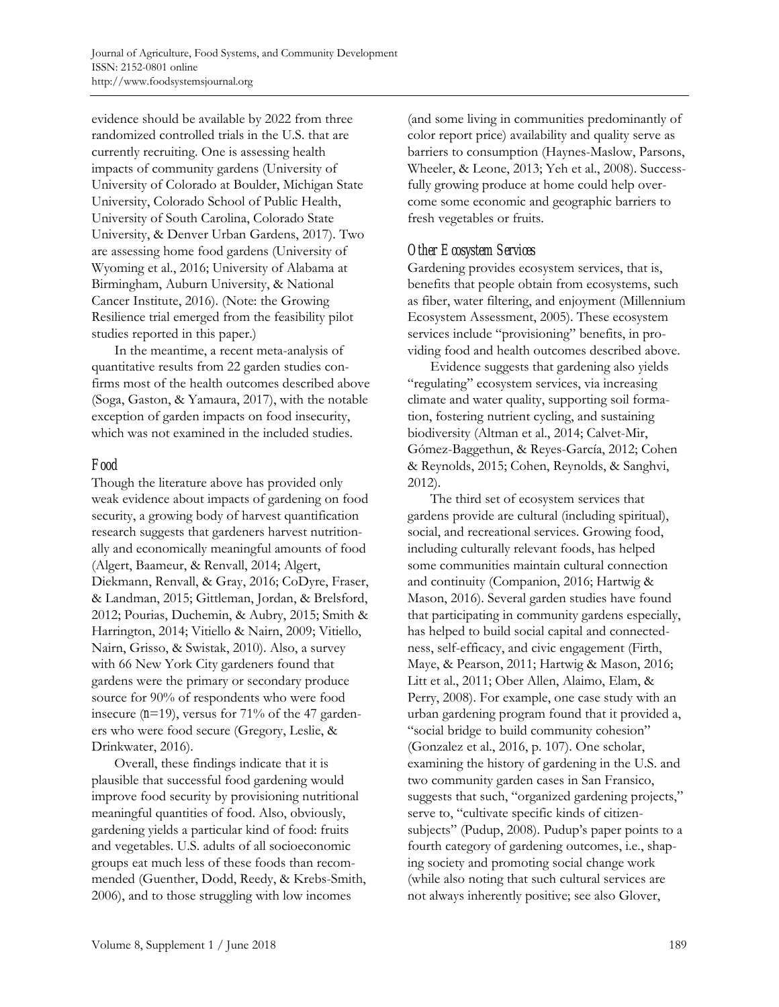evidence should be available by 2022 from three randomized controlled trials in the U.S. that are currently recruiting. One is assessing health impacts of community gardens (University of University of Colorado at Boulder, Michigan State University, Colorado School of Public Health, University of South Carolina, Colorado State University, & Denver Urban Gardens, 2017). Two are assessing home food gardens (University of Wyoming et al., 2016; University of Alabama at Birmingham, Auburn University, & National Cancer Institute, 2016). (Note: the Growing Resilience trial emerged from the feasibility pilot studies reported in this paper.)

 In the meantime, a recent meta-analysis of quantitative results from 22 garden studies confirms most of the health outcomes described above (Soga, Gaston, & Yamaura, 2017), with the notable exception of garden impacts on food insecurity, which was not examined in the included studies.

## *Food*

Though the literature above has provided only weak evidence about impacts of gardening on food security, a growing body of harvest quantification research suggests that gardeners harvest nutritionally and economically meaningful amounts of food (Algert, Baameur, & Renvall, 2014; Algert, Diekmann, Renvall, & Gray, 2016; CoDyre, Fraser, & Landman, 2015; Gittleman, Jordan, & Brelsford, 2012; Pourias, Duchemin, & Aubry, 2015; Smith & Harrington, 2014; Vitiello & Nairn, 2009; Vitiello, Nairn, Grisso, & Swistak, 2010). Also, a survey with 66 New York City gardeners found that gardens were the primary or secondary produce source for 90% of respondents who were food insecure (*n*=19), versus for 71% of the 47 gardeners who were food secure (Gregory, Leslie, & Drinkwater, 2016).

 Overall, these findings indicate that it is plausible that successful food gardening would improve food security by provisioning nutritional meaningful quantities of food. Also, obviously, gardening yields a particular kind of food: fruits and vegetables. U.S. adults of all socioeconomic groups eat much less of these foods than recommended (Guenther, Dodd, Reedy, & Krebs-Smith, 2006), and to those struggling with low incomes

(and some living in communities predominantly of color report price) availability and quality serve as barriers to consumption (Haynes-Maslow, Parsons, Wheeler, & Leone, 2013; Yeh et al., 2008). Successfully growing produce at home could help overcome some economic and geographic barriers to fresh vegetables or fruits.

# *Other Ecosystem Services*

Gardening provides ecosystem services, that is, benefits that people obtain from ecosystems, such as fiber, water filtering, and enjoyment (Millennium Ecosystem Assessment, 2005). These ecosystem services include "provisioning" benefits, in providing food and health outcomes described above.

 Evidence suggests that gardening also yields "regulating" ecosystem services, via increasing climate and water quality, supporting soil formation, fostering nutrient cycling, and sustaining biodiversity (Altman et al., 2014; Calvet-Mir, Gómez-Baggethun, & Reyes-García, 2012; Cohen & Reynolds, 2015; Cohen, Reynolds, & Sanghvi, 2012).

 The third set of ecosystem services that gardens provide are cultural (including spiritual), social, and recreational services. Growing food, including culturally relevant foods, has helped some communities maintain cultural connection and continuity (Companion, 2016; Hartwig & Mason, 2016). Several garden studies have found that participating in community gardens especially, has helped to build social capital and connectedness, self-efficacy, and civic engagement (Firth, Maye, & Pearson, 2011; Hartwig & Mason, 2016; Litt et al., 2011; Ober Allen, Alaimo, Elam, & Perry, 2008). For example, one case study with an urban gardening program found that it provided a, "social bridge to build community cohesion" (Gonzalez et al., 2016, p. 107). One scholar, examining the history of gardening in the U.S. and two community garden cases in San Fransico, suggests that such, "organized gardening projects," serve to, "cultivate specific kinds of citizensubjects" (Pudup, 2008). Pudup's paper points to a fourth category of gardening outcomes, i.e., shaping society and promoting social change work (while also noting that such cultural services are not always inherently positive; see also Glover,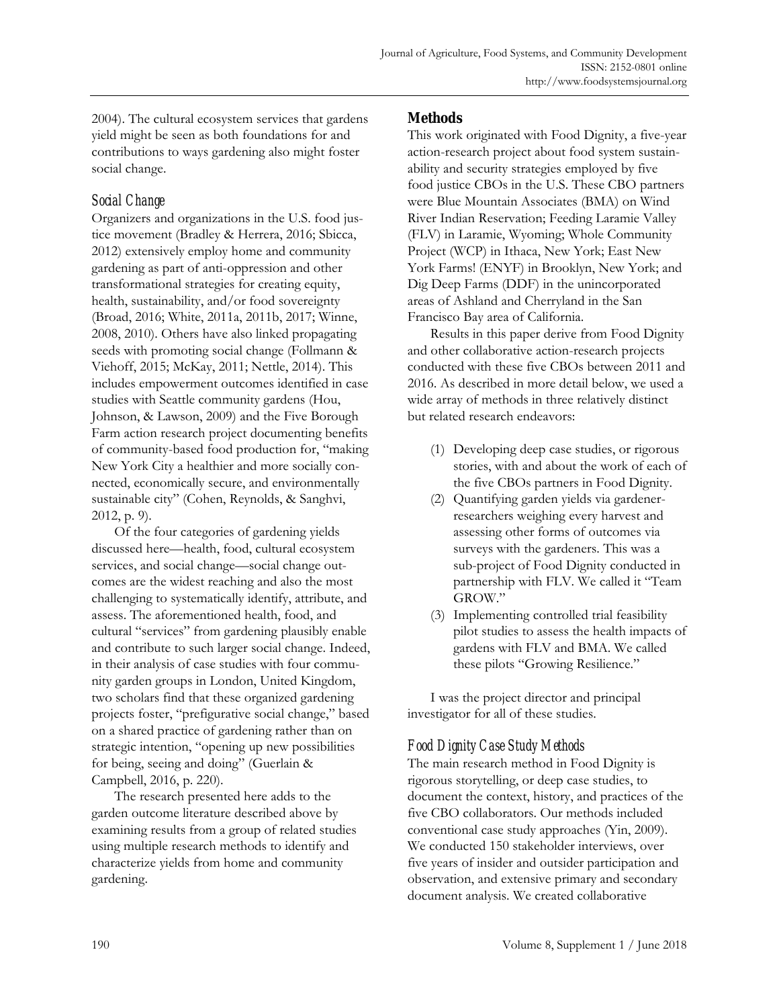2004). The cultural ecosystem services that gardens yield might be seen as both foundations for and contributions to ways gardening also might foster social change.

# *Social Change*

Organizers and organizations in the U.S. food justice movement (Bradley & Herrera, 2016; Sbicca, 2012) extensively employ home and community gardening as part of anti-oppression and other transformational strategies for creating equity, health, sustainability, and/or food sovereignty (Broad, 2016; White, 2011a, 2011b, 2017; Winne, 2008, 2010). Others have also linked propagating seeds with promoting social change (Follmann & Viehoff, 2015; McKay, 2011; Nettle, 2014). This includes empowerment outcomes identified in case studies with Seattle community gardens (Hou, Johnson, & Lawson, 2009) and the Five Borough Farm action research project documenting benefits of community-based food production for, "making New York City a healthier and more socially connected, economically secure, and environmentally sustainable city" (Cohen, Reynolds, & Sanghvi, 2012, p. 9).

 Of the four categories of gardening yields discussed here—health, food, cultural ecosystem services, and social change—social change outcomes are the widest reaching and also the most challenging to systematically identify, attribute, and assess. The aforementioned health, food, and cultural "services" from gardening plausibly enable and contribute to such larger social change. Indeed, in their analysis of case studies with four community garden groups in London, United Kingdom, two scholars find that these organized gardening projects foster, "prefigurative social change," based on a shared practice of gardening rather than on strategic intention, "opening up new possibilities for being, seeing and doing" (Guerlain & Campbell, 2016, p. 220).

 The research presented here adds to the garden outcome literature described above by examining results from a group of related studies using multiple research methods to identify and characterize yields from home and community gardening.

# **Methods**

This work originated with Food Dignity, a five-year action-research project about food system sustainability and security strategies employed by five food justice CBOs in the U.S. These CBO partners were Blue Mountain Associates (BMA) on Wind River Indian Reservation; Feeding Laramie Valley (FLV) in Laramie, Wyoming; Whole Community Project (WCP) in Ithaca, New York; East New York Farms! (ENYF) in Brooklyn, New York; and Dig Deep Farms (DDF) in the unincorporated areas of Ashland and Cherryland in the San Francisco Bay area of California.

 Results in this paper derive from Food Dignity and other collaborative action-research projects conducted with these five CBOs between 2011 and 2016. As described in more detail below, we used a wide array of methods in three relatively distinct but related research endeavors:

- (1) Developing deep case studies, or rigorous stories, with and about the work of each of the five CBOs partners in Food Dignity.
- (2) Quantifying garden yields via gardenerresearchers weighing every harvest and assessing other forms of outcomes via surveys with the gardeners. This was a sub-project of Food Dignity conducted in partnership with FLV. We called it "Team GROW."
- (3) Implementing controlled trial feasibility pilot studies to assess the health impacts of gardens with FLV and BMA. We called these pilots "Growing Resilience."

 I was the project director and principal investigator for all of these studies.

# *Food Dignity Case Study Methods*

The main research method in Food Dignity is rigorous storytelling, or deep case studies, to document the context, history, and practices of the five CBO collaborators. Our methods included conventional case study approaches (Yin, 2009). We conducted 150 stakeholder interviews, over five years of insider and outsider participation and observation, and extensive primary and secondary document analysis. We created collaborative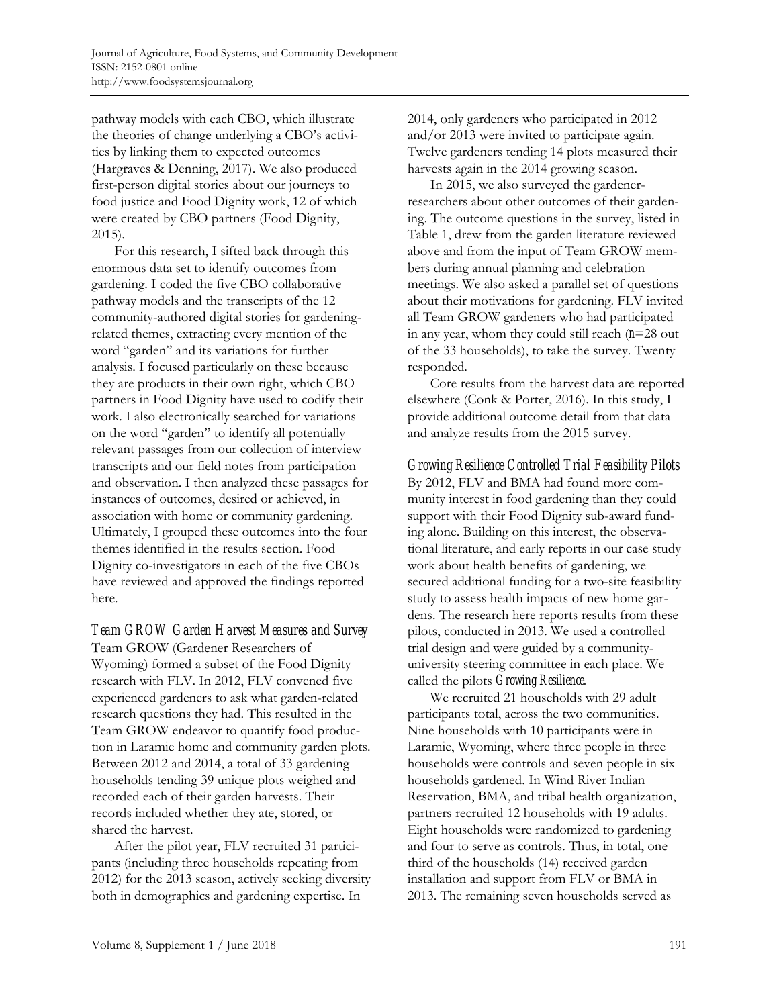pathway models with each CBO, which illustrate the theories of change underlying a CBO's activities by linking them to expected outcomes (Hargraves & Denning, 2017). We also produced first-person digital stories about our journeys to food justice and Food Dignity work, 12 of which were created by CBO partners (Food Dignity, 2015).

 For this research, I sifted back through this enormous data set to identify outcomes from gardening. I coded the five CBO collaborative pathway models and the transcripts of the 12 community-authored digital stories for gardeningrelated themes, extracting every mention of the word "garden" and its variations for further analysis. I focused particularly on these because they are products in their own right, which CBO partners in Food Dignity have used to codify their work. I also electronically searched for variations on the word "garden" to identify all potentially relevant passages from our collection of interview transcripts and our field notes from participation and observation. I then analyzed these passages for instances of outcomes, desired or achieved, in association with home or community gardening. Ultimately, I grouped these outcomes into the four themes identified in the results section. Food Dignity co-investigators in each of the five CBOs have reviewed and approved the findings reported here.

*Team GROW Garden Harvest Measures and Survey*  Team GROW (Gardener Researchers of Wyoming) formed a subset of the Food Dignity research with FLV. In 2012, FLV convened five experienced gardeners to ask what garden-related research questions they had. This resulted in the Team GROW endeavor to quantify food production in Laramie home and community garden plots. Between 2012 and 2014, a total of 33 gardening households tending 39 unique plots weighed and recorded each of their garden harvests. Their records included whether they ate, stored, or shared the harvest.

 After the pilot year, FLV recruited 31 participants (including three households repeating from 2012) for the 2013 season, actively seeking diversity both in demographics and gardening expertise. In

2014, only gardeners who participated in 2012 and/or 2013 were invited to participate again. Twelve gardeners tending 14 plots measured their harvests again in the 2014 growing season.

 In 2015, we also surveyed the gardenerresearchers about other outcomes of their gardening. The outcome questions in the survey, listed in Table 1, drew from the garden literature reviewed above and from the input of Team GROW members during annual planning and celebration meetings. We also asked a parallel set of questions about their motivations for gardening. FLV invited all Team GROW gardeners who had participated in any year, whom they could still reach (*n*=28 out of the 33 households), to take the survey. Twenty responded.

 Core results from the harvest data are reported elsewhere (Conk & Porter, 2016). In this study, I provide additional outcome detail from that data and analyze results from the 2015 survey.

*Growing Resilience Controlled Trial Feasibility Pilots*  By 2012, FLV and BMA had found more community interest in food gardening than they could support with their Food Dignity sub-award funding alone. Building on this interest, the observational literature, and early reports in our case study work about health benefits of gardening, we secured additional funding for a two-site feasibility study to assess health impacts of new home gardens. The research here reports results from these pilots, conducted in 2013. We used a controlled trial design and were guided by a communityuniversity steering committee in each place. We called the pilots *Growing Resilience.*

 We recruited 21 households with 29 adult participants total, across the two communities. Nine households with 10 participants were in Laramie, Wyoming, where three people in three households were controls and seven people in six households gardened. In Wind River Indian Reservation, BMA, and tribal health organization, partners recruited 12 households with 19 adults. Eight households were randomized to gardening and four to serve as controls. Thus, in total, one third of the households (14) received garden installation and support from FLV or BMA in 2013. The remaining seven households served as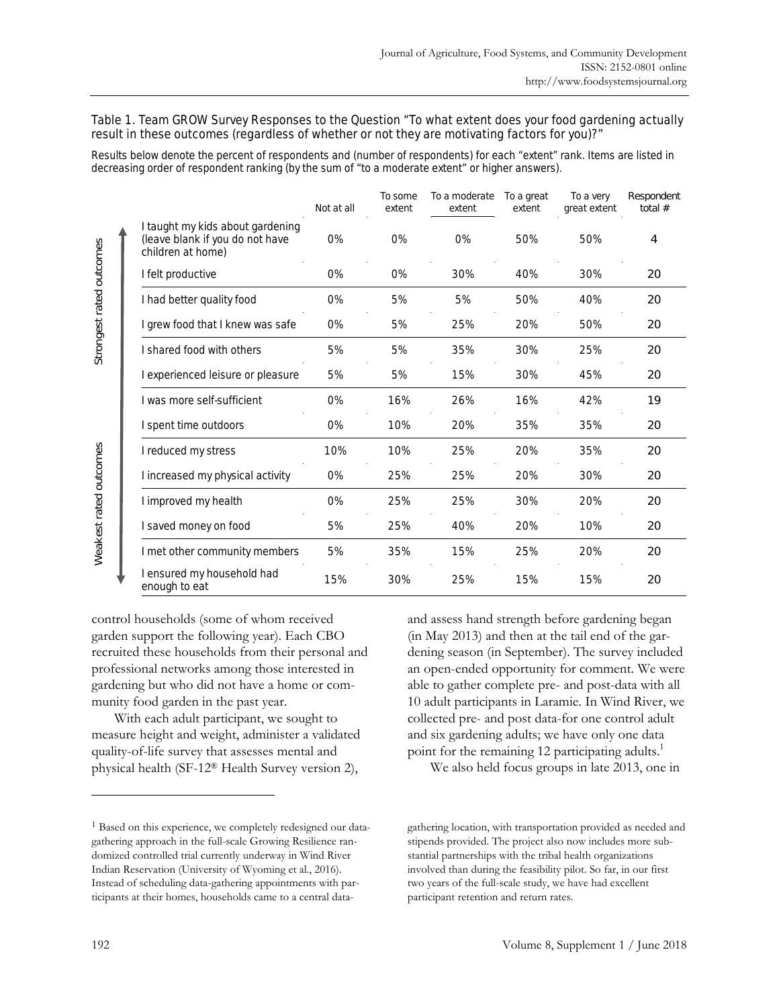#### Table 1. Team GROW Survey Responses to the Question "To what extent does your food gardening actually result in these outcomes (regardless of whether or not they are motivating factors for you)?"

Results below denote the percent of respondents and (number of respondents) for each "extent" rank. Items are listed in decreasing order of respondent ranking (by the sum of "to a moderate extent" or higher answers).

|                                                                                          | Not at all | To some<br>extent | To a moderate<br>extent | To a great<br>extent | To a very<br>great extent | Respondent<br>total $#$ |
|------------------------------------------------------------------------------------------|------------|-------------------|-------------------------|----------------------|---------------------------|-------------------------|
| I taught my kids about gardening<br>(leave blank if you do not have<br>children at home) | O%         | $0\%$             | $0\%$                   | 50%                  | 50%                       | 4                       |
| I felt productive                                                                        | 0%         | $0\%$             | 30%                     | 40%                  | 30%                       | 20                      |
| I had better quality food                                                                | $0\%$      | 5%                | 5%                      | 50%                  | 40%                       | 20                      |
| grew food that I knew was safe                                                           | $0\%$      | 5%                | 25%                     | 20%                  | 50%                       | 20                      |
| shared food with others                                                                  | 5%         | 5%                | 35%                     | 30%                  | 25%                       | 20                      |
| experienced leisure or pleasure                                                          | 5%         | 5%                | 15%                     | 30%                  | 45%                       | 20                      |
| I was more self-sufficient                                                               | O%         | 16%               | 26%                     | 16%                  | 42%                       | 19                      |
| I spent time outdoors                                                                    | 0%         | 10%               | 20%                     | 35%                  | 35%                       | 20                      |
| I reduced my stress                                                                      | 10%        | 10%               | 25%                     | 20%                  | 35%                       | 20                      |
| I increased my physical activity                                                         | $0\%$      | 25%               | 25%                     | 20%                  | 30%                       | 20                      |
| I improved my health                                                                     | 0%         | 25%               | 25%                     | 30%                  | 20%                       | 20                      |
| I saved money on food                                                                    | 5%         | 25%               | 40%                     | 20%                  | 10%                       | 20                      |
| I met other community members                                                            | 5%         | 35%               | 15%                     | 25%                  | 20%                       | 20                      |
| I ensured my household had<br>enough to eat                                              | 15%        | 30%               | 25%                     | 15%                  | 15%                       | 20                      |

control households (some of whom received garden support the following year). Each CBO recruited these households from their personal and professional networks among those interested in gardening but who did not have a home or community food garden in the past year.

 With each adult participant, we sought to measure height and weight, administer a validated quality-of-life survey that assesses mental and physical health (SF-12® Health Survey version 2),

and assess hand strength before gardening began (in May 2013) and then at the tail end of the gardening season (in September). The survey included an open-ended opportunity for comment. We were able to gather complete pre- and post-data with all 10 adult participants in Laramie. In Wind River, we collected pre- and post data-for one control adult and six gardening adults; we have only one data point for the remaining 12 participating adults.<sup>1</sup>

We also held focus groups in late 2013, one in

 $\overline{a}$ 

Strongest rated outcomes

Strongest rated outcomes

Weakest rated outcomes

Weakest rated outcomes

<sup>1</sup> Based on this experience, we completely redesigned our datagathering approach in the full-scale Growing Resilience randomized controlled trial currently underway in Wind River Indian Reservation (University of Wyoming et al., 2016). Instead of scheduling data-gathering appointments with participants at their homes, households came to a central data-

gathering location, with transportation provided as needed and stipends provided. The project also now includes more substantial partnerships with the tribal health organizations involved than during the feasibility pilot. So far, in our first two years of the full-scale study, we have had excellent participant retention and return rates.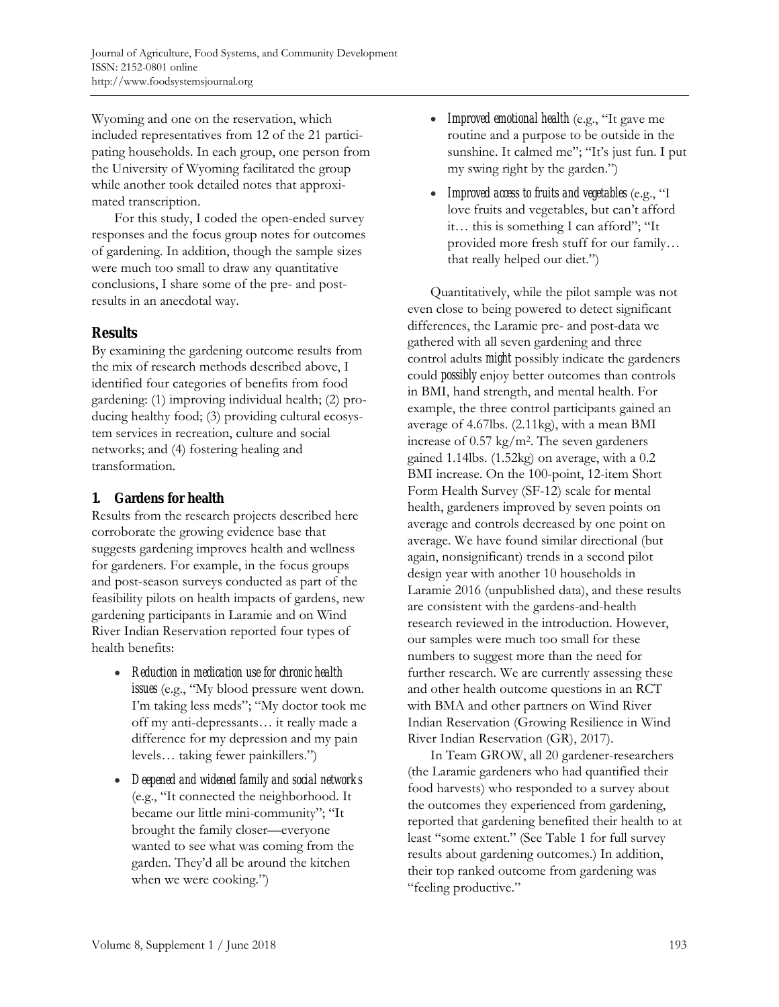Wyoming and one on the reservation, which included representatives from 12 of the 21 participating households. In each group, one person from the University of Wyoming facilitated the group while another took detailed notes that approximated transcription.

 For this study, I coded the open-ended survey responses and the focus group notes for outcomes of gardening. In addition, though the sample sizes were much too small to draw any quantitative conclusions, I share some of the pre- and postresults in an anecdotal way.

## **Results**

By examining the gardening outcome results from the mix of research methods described above, I identified four categories of benefits from food gardening: (1) improving individual health; (2) producing healthy food; (3) providing cultural ecosystem services in recreation, culture and social networks; and (4) fostering healing and transformation.

## **1. Gardens for health**

Results from the research projects described here corroborate the growing evidence base that suggests gardening improves health and wellness for gardeners. For example, in the focus groups and post-season surveys conducted as part of the feasibility pilots on health impacts of gardens, new gardening participants in Laramie and on Wind River Indian Reservation reported four types of health benefits:

- *Reduction in medication use for chronic health issues* (e.g., "My blood pressure went down. I'm taking less meds"; "My doctor took me off my anti-depressants… it really made a difference for my depression and my pain levels… taking fewer painkillers.")
- *Deepened and widened family and social networks*  (e.g., "It connected the neighborhood. It became our little mini-community"; "It brought the family closer—everyone wanted to see what was coming from the garden. They'd all be around the kitchen when we were cooking.")
- *Improved emotional health* (e.g., "It gave me routine and a purpose to be outside in the sunshine. It calmed me"; "It's just fun. I put my swing right by the garden.")
- *Improved access to fruits and vegetables* (e.g., "I love fruits and vegetables, but can't afford it… this is something I can afford"; "It provided more fresh stuff for our family… that really helped our diet.")

 Quantitatively, while the pilot sample was not even close to being powered to detect significant differences, the Laramie pre- and post-data we gathered with all seven gardening and three control adults *might* possibly indicate the gardeners could *possibly* enjoy better outcomes than controls in BMI, hand strength, and mental health. For example, the three control participants gained an average of 4.67lbs. (2.11kg), with a mean BMI increase of 0.57 kg/m2. The seven gardeners gained 1.14lbs. (1.52kg) on average, with a 0.2 BMI increase. On the 100-point, 12-item Short Form Health Survey (SF-12) scale for mental health, gardeners improved by seven points on average and controls decreased by one point on average. We have found similar directional (but again, nonsignificant) trends in a second pilot design year with another 10 households in Laramie 2016 (unpublished data), and these results are consistent with the gardens-and-health research reviewed in the introduction. However, our samples were much too small for these numbers to suggest more than the need for further research. We are currently assessing these and other health outcome questions in an RCT with BMA and other partners on Wind River Indian Reservation (Growing Resilience in Wind River Indian Reservation (GR), 2017).

 In Team GROW, all 20 gardener-researchers (the Laramie gardeners who had quantified their food harvests) who responded to a survey about the outcomes they experienced from gardening, reported that gardening benefited their health to at least "some extent." (See Table 1 for full survey results about gardening outcomes.) In addition, their top ranked outcome from gardening was "feeling productive."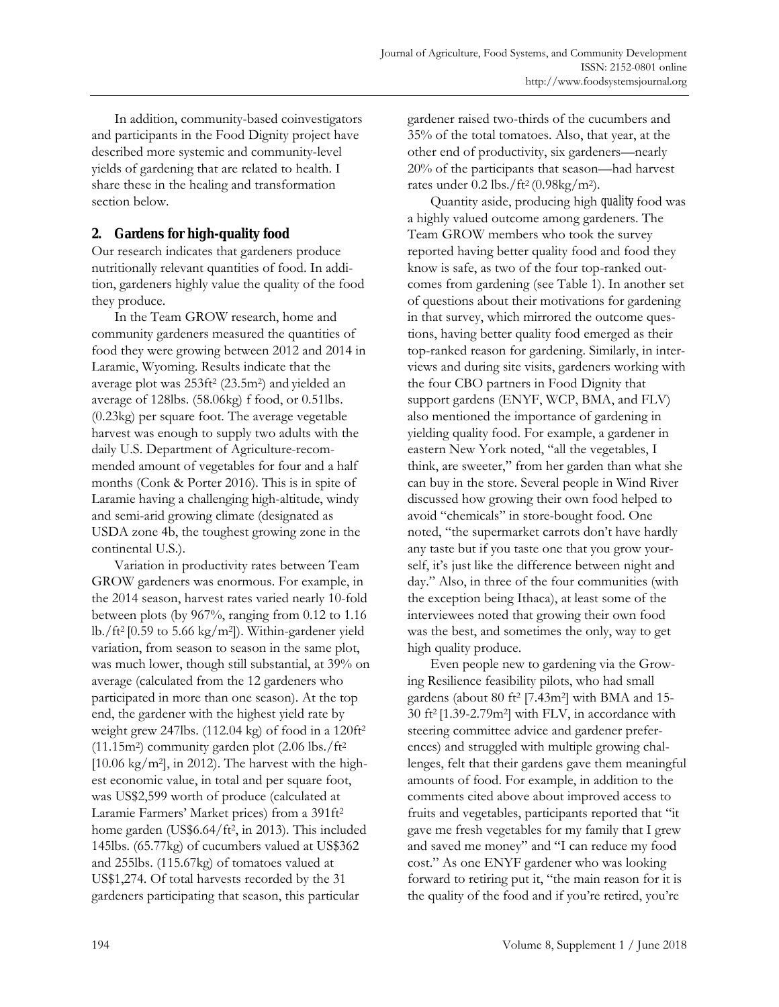In addition, community-based coinvestigators and participants in the Food Dignity project have described more systemic and community-level yields of gardening that are related to health. I share these in the healing and transformation section below.

# **2. Gardens for high-quality food**

Our research indicates that gardeners produce nutritionally relevant quantities of food. In addition, gardeners highly value the quality of the food they produce.

 In the Team GROW research, home and community gardeners measured the quantities of food they were growing between 2012 and 2014 in Laramie, Wyoming. Results indicate that the average plot was 253ft2 (23.5m2) and yielded an average of 128lbs. (58.06kg) f food, or 0.51lbs. (0.23kg) per square foot. The average vegetable harvest was enough to supply two adults with the daily U.S. Department of Agriculture-recommended amount of vegetables for four and a half months (Conk & Porter 2016). This is in spite of Laramie having a challenging high-altitude, windy and semi-arid growing climate (designated as USDA zone 4b, the toughest growing zone in the continental U.S.).

 Variation in productivity rates between Team GROW gardeners was enormous. For example, in the 2014 season, harvest rates varied nearly 10-fold between plots (by 967%, ranging from 0.12 to 1.16 lb./ft<sup>2</sup> [0.59 to 5.66 kg/m<sup>2</sup>]). Within-gardener yield variation, from season to season in the same plot, was much lower, though still substantial, at 39% on average (calculated from the 12 gardeners who participated in more than one season). At the top end, the gardener with the highest yield rate by weight grew 247lbs. (112.04 kg) of food in a 120ft2  $(11.15m<sup>2</sup>)$  community garden plot  $(2.06 \text{ lbs.}/\text{ft}^2)$  $[10.06 \text{ kg/m}^2]$ , in 2012). The harvest with the highest economic value, in total and per square foot, was US\$2,599 worth of produce (calculated at Laramie Farmers' Market prices) from a 391ft2 home garden (US\$6.64/ft2, in 2013). This included 145lbs. (65.77kg) of cucumbers valued at US\$362 and 255lbs. (115.67kg) of tomatoes valued at US\$1,274. Of total harvests recorded by the 31 gardeners participating that season, this particular

gardener raised two-thirds of the cucumbers and 35% of the total tomatoes. Also, that year, at the other end of productivity, six gardeners—nearly 20% of the participants that season—had harvest rates under  $0.2$  lbs./ft<sup>2</sup> (0.98kg/m<sup>2</sup>).

 Quantity aside, producing high *quality* food was a highly valued outcome among gardeners. The Team GROW members who took the survey reported having better quality food and food they know is safe, as two of the four top-ranked outcomes from gardening (see Table 1). In another set of questions about their motivations for gardening in that survey, which mirrored the outcome questions, having better quality food emerged as their top-ranked reason for gardening. Similarly, in interviews and during site visits, gardeners working with the four CBO partners in Food Dignity that support gardens (ENYF, WCP, BMA, and FLV) also mentioned the importance of gardening in yielding quality food. For example, a gardener in eastern New York noted, "all the vegetables, I think, are sweeter," from her garden than what she can buy in the store. Several people in Wind River discussed how growing their own food helped to avoid "chemicals" in store-bought food. One noted, "the supermarket carrots don't have hardly any taste but if you taste one that you grow yourself, it's just like the difference between night and day." Also, in three of the four communities (with the exception being Ithaca), at least some of the interviewees noted that growing their own food was the best, and sometimes the only, way to get high quality produce.

 Even people new to gardening via the Growing Resilience feasibility pilots, who had small gardens (about 80 ft<sup>2</sup> [7.43m<sup>2</sup>] with BMA and 15-30 ft2 [1.39-2.79m2] with FLV, in accordance with steering committee advice and gardener preferences) and struggled with multiple growing challenges, felt that their gardens gave them meaningful amounts of food. For example, in addition to the comments cited above about improved access to fruits and vegetables, participants reported that "it gave me fresh vegetables for my family that I grew and saved me money" and "I can reduce my food cost." As one ENYF gardener who was looking forward to retiring put it, "the main reason for it is the quality of the food and if you're retired, you're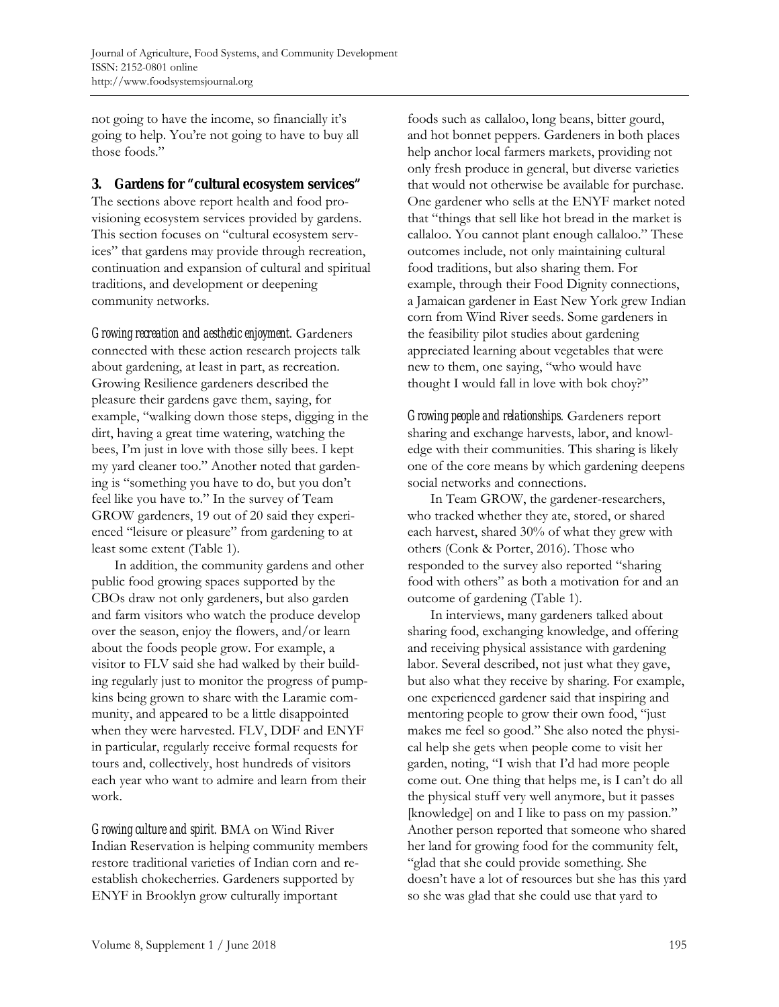not going to have the income, so financially it's going to help. You're not going to have to buy all those foods."

## **3. Gardens for "cultural ecosystem services"**

The sections above report health and food provisioning ecosystem services provided by gardens. This section focuses on "cultural ecosystem services" that gardens may provide through recreation, continuation and expansion of cultural and spiritual traditions, and development or deepening community networks.

*Growing recreation and aesthetic enjoyment.* Gardeners connected with these action research projects talk about gardening, at least in part, as recreation. Growing Resilience gardeners described the pleasure their gardens gave them, saying, for example, "walking down those steps, digging in the dirt, having a great time watering, watching the bees, I'm just in love with those silly bees. I kept my yard cleaner too." Another noted that gardening is "something you have to do, but you don't feel like you have to." In the survey of Team GROW gardeners, 19 out of 20 said they experienced "leisure or pleasure" from gardening to at least some extent (Table 1).

 In addition, the community gardens and other public food growing spaces supported by the CBOs draw not only gardeners, but also garden and farm visitors who watch the produce develop over the season, enjoy the flowers, and/or learn about the foods people grow. For example, a visitor to FLV said she had walked by their building regularly just to monitor the progress of pumpkins being grown to share with the Laramie community, and appeared to be a little disappointed when they were harvested. FLV, DDF and ENYF in particular, regularly receive formal requests for tours and, collectively, host hundreds of visitors each year who want to admire and learn from their work.

*Growing culture and spirit.* BMA on Wind River Indian Reservation is helping community members restore traditional varieties of Indian corn and reestablish chokecherries. Gardeners supported by ENYF in Brooklyn grow culturally important

foods such as callaloo, long beans, bitter gourd, and hot bonnet peppers. Gardeners in both places help anchor local farmers markets, providing not only fresh produce in general, but diverse varieties that would not otherwise be available for purchase. One gardener who sells at the ENYF market noted that "things that sell like hot bread in the market is callaloo. You cannot plant enough callaloo." These outcomes include, not only maintaining cultural food traditions, but also sharing them. For example, through their Food Dignity connections, a Jamaican gardener in East New York grew Indian corn from Wind River seeds. Some gardeners in the feasibility pilot studies about gardening appreciated learning about vegetables that were new to them, one saying, "who would have thought I would fall in love with bok choy?"

*Growing people and relationships.* Gardeners report sharing and exchange harvests, labor, and knowledge with their communities. This sharing is likely one of the core means by which gardening deepens social networks and connections.

 In Team GROW, the gardener-researchers, who tracked whether they ate, stored, or shared each harvest, shared 30% of what they grew with others (Conk & Porter, 2016). Those who responded to the survey also reported "sharing food with others" as both a motivation for and an outcome of gardening (Table 1).

 In interviews, many gardeners talked about sharing food, exchanging knowledge, and offering and receiving physical assistance with gardening labor. Several described, not just what they gave, but also what they receive by sharing. For example, one experienced gardener said that inspiring and mentoring people to grow their own food, "just makes me feel so good." She also noted the physical help she gets when people come to visit her garden, noting, "I wish that I'd had more people come out. One thing that helps me, is I can't do all the physical stuff very well anymore, but it passes [knowledge] on and I like to pass on my passion." Another person reported that someone who shared her land for growing food for the community felt, "glad that she could provide something. She doesn't have a lot of resources but she has this yard so she was glad that she could use that yard to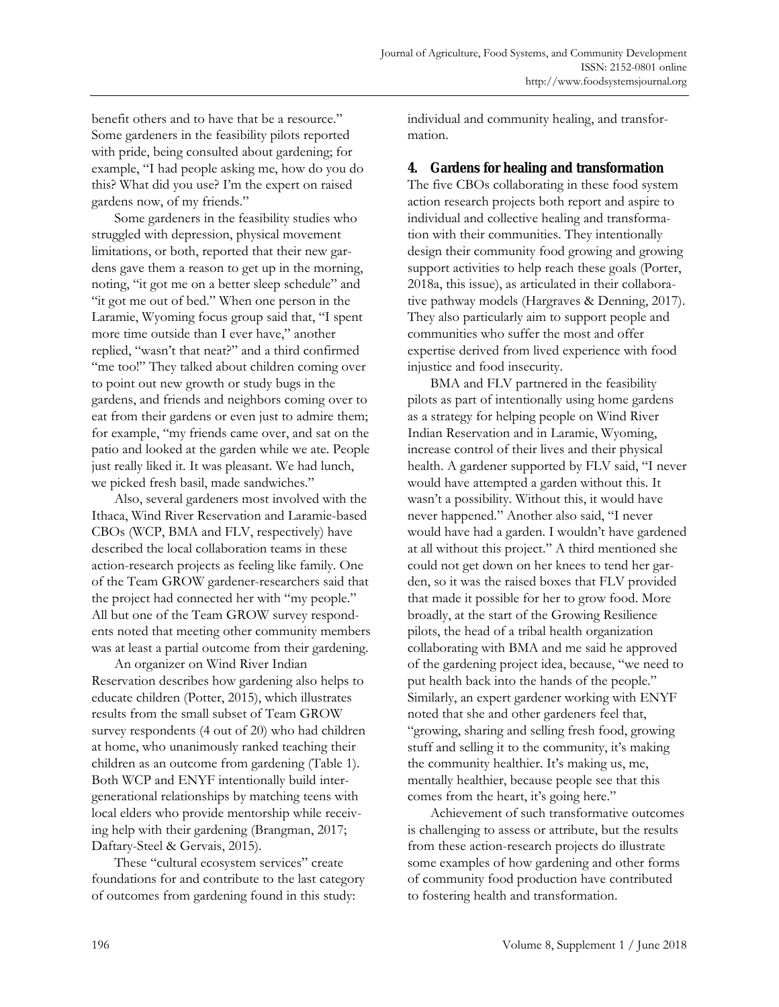benefit others and to have that be a resource." Some gardeners in the feasibility pilots reported with pride, being consulted about gardening; for example, "I had people asking me, how do you do this? What did you use? I'm the expert on raised gardens now, of my friends."

 Some gardeners in the feasibility studies who struggled with depression, physical movement limitations, or both, reported that their new gardens gave them a reason to get up in the morning, noting, "it got me on a better sleep schedule" and "it got me out of bed." When one person in the Laramie, Wyoming focus group said that, "I spent more time outside than I ever have," another replied, "wasn't that neat?" and a third confirmed "me too!" They talked about children coming over to point out new growth or study bugs in the gardens, and friends and neighbors coming over to eat from their gardens or even just to admire them; for example, "my friends came over, and sat on the patio and looked at the garden while we ate. People just really liked it. It was pleasant. We had lunch, we picked fresh basil, made sandwiches."

 Also, several gardeners most involved with the Ithaca, Wind River Reservation and Laramie-based CBOs (WCP, BMA and FLV, respectively) have described the local collaboration teams in these action-research projects as feeling like family. One of the Team GROW gardener-researchers said that the project had connected her with "my people." All but one of the Team GROW survey respondents noted that meeting other community members was at least a partial outcome from their gardening.

 An organizer on Wind River Indian Reservation describes how gardening also helps to educate children (Potter, 2015), which illustrates results from the small subset of Team GROW survey respondents (4 out of 20) who had children at home, who unanimously ranked teaching their children as an outcome from gardening (Table 1). Both WCP and ENYF intentionally build intergenerational relationships by matching teens with local elders who provide mentorship while receiving help with their gardening (Brangman, 2017; Daftary-Steel & Gervais, 2015).

 These "cultural ecosystem services" create foundations for and contribute to the last category of outcomes from gardening found in this study:

individual and community healing, and transformation.

#### **4. Gardens for healing and transformation**

The five CBOs collaborating in these food system action research projects both report and aspire to individual and collective healing and transformation with their communities. They intentionally design their community food growing and growing support activities to help reach these goals (Porter, 2018a, this issue), as articulated in their collaborative pathway models (Hargraves & Denning, 2017). They also particularly aim to support people and communities who suffer the most and offer expertise derived from lived experience with food injustice and food insecurity.

 BMA and FLV partnered in the feasibility pilots as part of intentionally using home gardens as a strategy for helping people on Wind River Indian Reservation and in Laramie, Wyoming, increase control of their lives and their physical health. A gardener supported by FLV said, "I never would have attempted a garden without this. It wasn't a possibility. Without this, it would have never happened." Another also said, "I never would have had a garden. I wouldn't have gardened at all without this project." A third mentioned she could not get down on her knees to tend her garden, so it was the raised boxes that FLV provided that made it possible for her to grow food. More broadly, at the start of the Growing Resilience pilots, the head of a tribal health organization collaborating with BMA and me said he approved of the gardening project idea, because, "we need to put health back into the hands of the people." Similarly, an expert gardener working with ENYF noted that she and other gardeners feel that, "growing, sharing and selling fresh food, growing stuff and selling it to the community, it's making the community healthier. It's making us, me, mentally healthier, because people see that this comes from the heart, it's going here."

 Achievement of such transformative outcomes is challenging to assess or attribute, but the results from these action-research projects do illustrate some examples of how gardening and other forms of community food production have contributed to fostering health and transformation.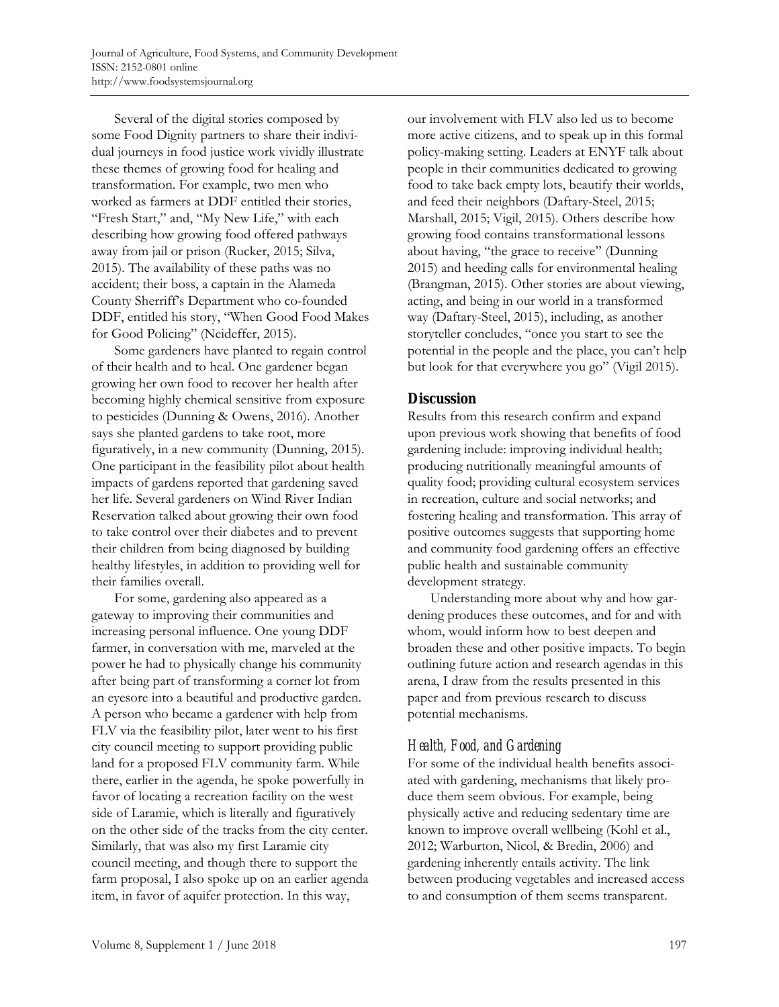Several of the digital stories composed by some Food Dignity partners to share their individual journeys in food justice work vividly illustrate these themes of growing food for healing and transformation. For example, two men who worked as farmers at DDF entitled their stories, "Fresh Start," and, "My New Life," with each describing how growing food offered pathways away from jail or prison (Rucker, 2015; Silva, 2015). The availability of these paths was no accident; their boss, a captain in the Alameda County Sherriff's Department who co-founded DDF, entitled his story, "When Good Food Makes for Good Policing" (Neideffer, 2015).

 Some gardeners have planted to regain control of their health and to heal. One gardener began growing her own food to recover her health after becoming highly chemical sensitive from exposure to pesticides (Dunning & Owens, 2016). Another says she planted gardens to take root, more figuratively, in a new community (Dunning, 2015). One participant in the feasibility pilot about health impacts of gardens reported that gardening saved her life. Several gardeners on Wind River Indian Reservation talked about growing their own food to take control over their diabetes and to prevent their children from being diagnosed by building healthy lifestyles, in addition to providing well for their families overall.

 For some, gardening also appeared as a gateway to improving their communities and increasing personal influence. One young DDF farmer, in conversation with me, marveled at the power he had to physically change his community after being part of transforming a corner lot from an eyesore into a beautiful and productive garden. A person who became a gardener with help from FLV via the feasibility pilot, later went to his first city council meeting to support providing public land for a proposed FLV community farm. While there, earlier in the agenda, he spoke powerfully in favor of locating a recreation facility on the west side of Laramie, which is literally and figuratively on the other side of the tracks from the city center. Similarly, that was also my first Laramie city council meeting, and though there to support the farm proposal, I also spoke up on an earlier agenda item, in favor of aquifer protection. In this way,

our involvement with FLV also led us to become more active citizens, and to speak up in this formal policy-making setting. Leaders at ENYF talk about people in their communities dedicated to growing food to take back empty lots, beautify their worlds, and feed their neighbors (Daftary-Steel, 2015; Marshall, 2015; Vigil, 2015). Others describe how growing food contains transformational lessons about having, "the grace to receive" (Dunning 2015) and heeding calls for environmental healing (Brangman, 2015). Other stories are about viewing, acting, and being in our world in a transformed way (Daftary-Steel, 2015), including, as another storyteller concludes, "once you start to see the potential in the people and the place, you can't help but look for that everywhere you go" (Vigil 2015).

# **Discussion**

Results from this research confirm and expand upon previous work showing that benefits of food gardening include: improving individual health; producing nutritionally meaningful amounts of quality food; providing cultural ecosystem services in recreation, culture and social networks; and fostering healing and transformation. This array of positive outcomes suggests that supporting home and community food gardening offers an effective public health and sustainable community development strategy.

 Understanding more about why and how gardening produces these outcomes, and for and with whom, would inform how to best deepen and broaden these and other positive impacts. To begin outlining future action and research agendas in this arena, I draw from the results presented in this paper and from previous research to discuss potential mechanisms.

# *Health, Food, and Gardening*

For some of the individual health benefits associated with gardening, mechanisms that likely produce them seem obvious. For example, being physically active and reducing sedentary time are known to improve overall wellbeing (Kohl et al., 2012; Warburton, Nicol, & Bredin, 2006) and gardening inherently entails activity. The link between producing vegetables and increased access to and consumption of them seems transparent.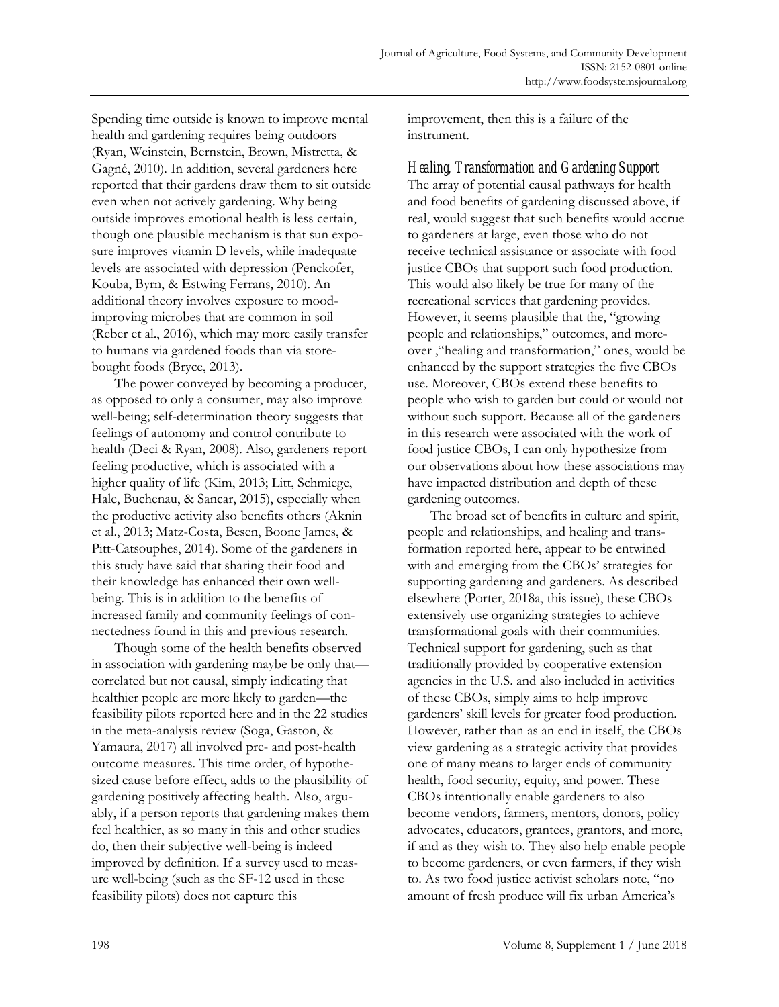Spending time outside is known to improve mental health and gardening requires being outdoors (Ryan, Weinstein, Bernstein, Brown, Mistretta, & Gagné, 2010). In addition, several gardeners here reported that their gardens draw them to sit outside even when not actively gardening. Why being outside improves emotional health is less certain, though one plausible mechanism is that sun exposure improves vitamin D levels, while inadequate levels are associated with depression (Penckofer, Kouba, Byrn, & Estwing Ferrans, 2010). An additional theory involves exposure to moodimproving microbes that are common in soil (Reber et al., 2016), which may more easily transfer to humans via gardened foods than via storebought foods (Bryce, 2013).

 The power conveyed by becoming a producer, as opposed to only a consumer, may also improve well-being; self-determination theory suggests that feelings of autonomy and control contribute to health (Deci & Ryan, 2008). Also, gardeners report feeling productive, which is associated with a higher quality of life (Kim, 2013; Litt, Schmiege, Hale, Buchenau, & Sancar, 2015), especially when the productive activity also benefits others (Aknin et al., 2013; Matz-Costa, Besen, Boone James, & Pitt-Catsouphes, 2014). Some of the gardeners in this study have said that sharing their food and their knowledge has enhanced their own wellbeing. This is in addition to the benefits of increased family and community feelings of connectedness found in this and previous research.

 Though some of the health benefits observed in association with gardening maybe be only that correlated but not causal, simply indicating that healthier people are more likely to garden—the feasibility pilots reported here and in the 22 studies in the meta-analysis review (Soga, Gaston, & Yamaura, 2017) all involved pre- and post-health outcome measures. This time order, of hypothesized cause before effect, adds to the plausibility of gardening positively affecting health. Also, arguably, if a person reports that gardening makes them feel healthier, as so many in this and other studies do, then their subjective well-being is indeed improved by definition. If a survey used to measure well-being (such as the SF-12 used in these feasibility pilots) does not capture this

improvement, then this is a failure of the instrument.

*Healing, Transformation and Gardening Support*  The array of potential causal pathways for health and food benefits of gardening discussed above, if real, would suggest that such benefits would accrue to gardeners at large, even those who do not receive technical assistance or associate with food justice CBOs that support such food production. This would also likely be true for many of the recreational services that gardening provides. However, it seems plausible that the, "growing people and relationships," outcomes, and moreover ,"healing and transformation," ones, would be enhanced by the support strategies the five CBOs use. Moreover, CBOs extend these benefits to people who wish to garden but could or would not without such support. Because all of the gardeners in this research were associated with the work of food justice CBOs, I can only hypothesize from our observations about how these associations may have impacted distribution and depth of these gardening outcomes.

 The broad set of benefits in culture and spirit, people and relationships, and healing and transformation reported here, appear to be entwined with and emerging from the CBOs' strategies for supporting gardening and gardeners. As described elsewhere (Porter, 2018a, this issue), these CBOs extensively use organizing strategies to achieve transformational goals with their communities. Technical support for gardening, such as that traditionally provided by cooperative extension agencies in the U.S. and also included in activities of these CBOs, simply aims to help improve gardeners' skill levels for greater food production. However, rather than as an end in itself, the CBOs view gardening as a strategic activity that provides one of many means to larger ends of community health, food security, equity, and power. These CBOs intentionally enable gardeners to also become vendors, farmers, mentors, donors, policy advocates, educators, grantees, grantors, and more, if and as they wish to. They also help enable people to become gardeners, or even farmers, if they wish to. As two food justice activist scholars note, "no amount of fresh produce will fix urban America's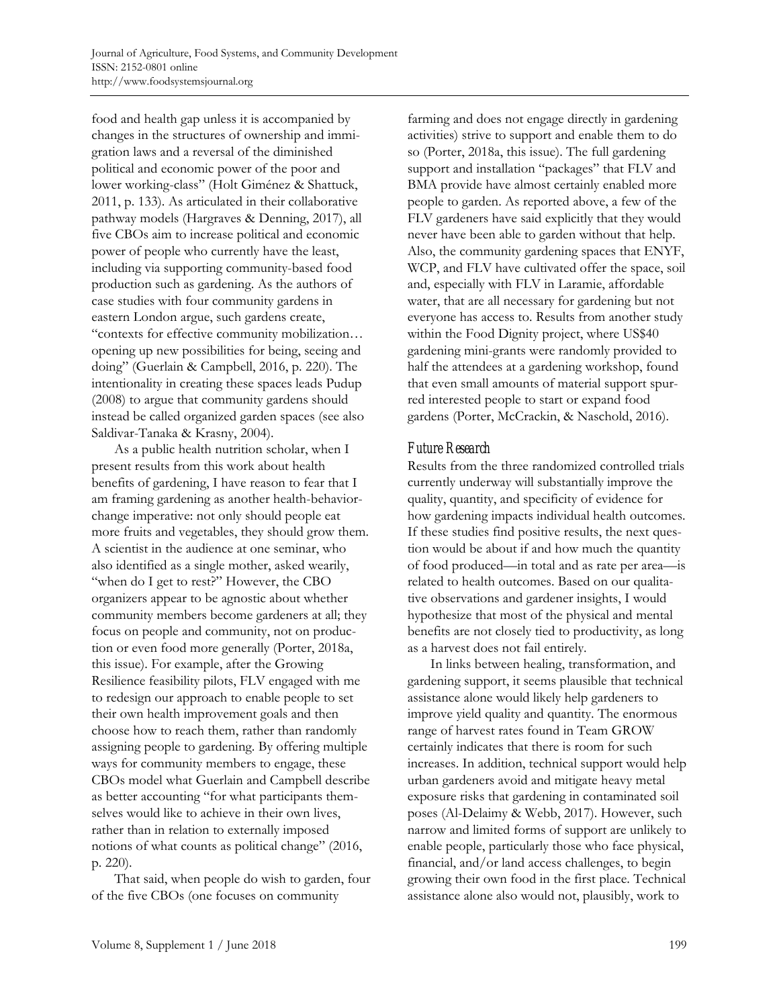food and health gap unless it is accompanied by changes in the structures of ownership and immigration laws and a reversal of the diminished political and economic power of the poor and lower working-class" (Holt Giménez & Shattuck, 2011, p. 133). As articulated in their collaborative pathway models (Hargraves & Denning, 2017), all five CBOs aim to increase political and economic power of people who currently have the least, including via supporting community-based food production such as gardening. As the authors of case studies with four community gardens in eastern London argue, such gardens create, "contexts for effective community mobilization… opening up new possibilities for being, seeing and doing" (Guerlain & Campbell, 2016, p. 220). The intentionality in creating these spaces leads Pudup (2008) to argue that community gardens should instead be called organized garden spaces (see also Saldivar-Tanaka & Krasny, 2004).

 As a public health nutrition scholar, when I present results from this work about health benefits of gardening, I have reason to fear that I am framing gardening as another health-behaviorchange imperative: not only should people eat more fruits and vegetables, they should grow them. A scientist in the audience at one seminar, who also identified as a single mother, asked wearily, "when do I get to rest?" However, the CBO organizers appear to be agnostic about whether community members become gardeners at all; they focus on people and community, not on production or even food more generally (Porter, 2018a, this issue). For example, after the Growing Resilience feasibility pilots, FLV engaged with me to redesign our approach to enable people to set their own health improvement goals and then choose how to reach them, rather than randomly assigning people to gardening. By offering multiple ways for community members to engage, these CBOs model what Guerlain and Campbell describe as better accounting "for what participants themselves would like to achieve in their own lives, rather than in relation to externally imposed notions of what counts as political change" (2016, p. 220).

 That said, when people do wish to garden, four of the five CBOs (one focuses on community

farming and does not engage directly in gardening activities) strive to support and enable them to do so (Porter, 2018a, this issue). The full gardening support and installation "packages" that FLV and BMA provide have almost certainly enabled more people to garden. As reported above, a few of the FLV gardeners have said explicitly that they would never have been able to garden without that help. Also, the community gardening spaces that ENYF, WCP, and FLV have cultivated offer the space, soil and, especially with FLV in Laramie, affordable water, that are all necessary for gardening but not everyone has access to. Results from another study within the Food Dignity project, where US\$40 gardening mini-grants were randomly provided to half the attendees at a gardening workshop, found that even small amounts of material support spurred interested people to start or expand food gardens (Porter, McCrackin, & Naschold, 2016).

# *Future Research*

Results from the three randomized controlled trials currently underway will substantially improve the quality, quantity, and specificity of evidence for how gardening impacts individual health outcomes. If these studies find positive results, the next question would be about if and how much the quantity of food produced—in total and as rate per area—is related to health outcomes. Based on our qualitative observations and gardener insights, I would hypothesize that most of the physical and mental benefits are not closely tied to productivity, as long as a harvest does not fail entirely.

 In links between healing, transformation, and gardening support, it seems plausible that technical assistance alone would likely help gardeners to improve yield quality and quantity. The enormous range of harvest rates found in Team GROW certainly indicates that there is room for such increases. In addition, technical support would help urban gardeners avoid and mitigate heavy metal exposure risks that gardening in contaminated soil poses (Al-Delaimy & Webb, 2017). However, such narrow and limited forms of support are unlikely to enable people, particularly those who face physical, financial, and/or land access challenges, to begin growing their own food in the first place. Technical assistance alone also would not, plausibly, work to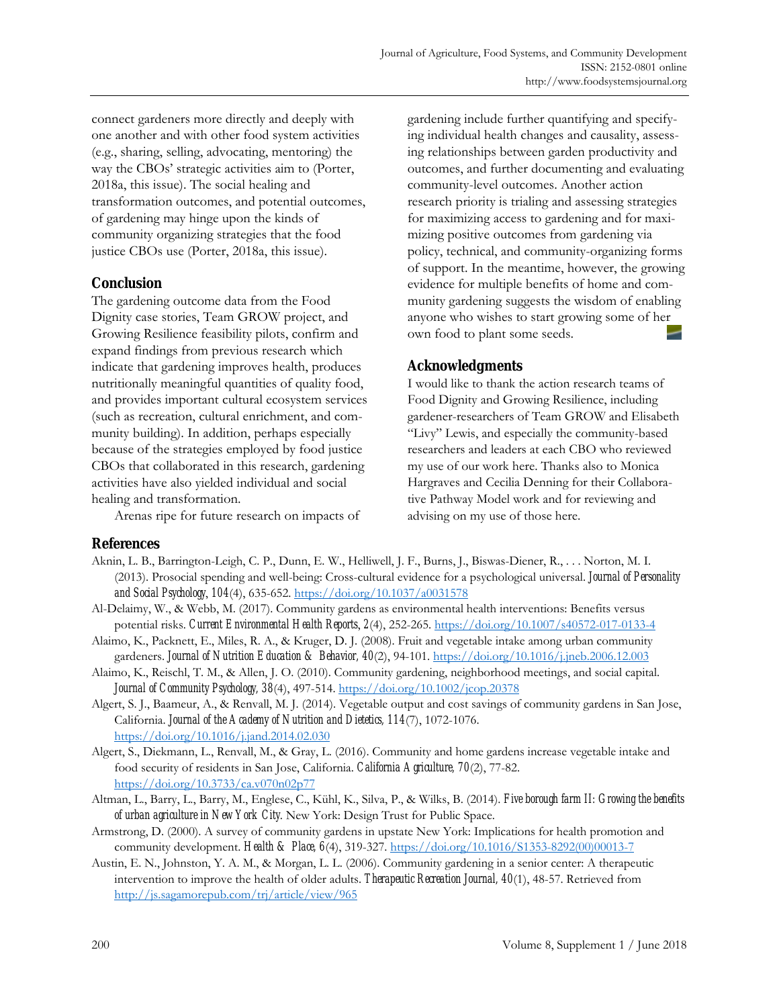connect gardeners more directly and deeply with one another and with other food system activities (e.g., sharing, selling, advocating, mentoring) the way the CBOs' strategic activities aim to (Porter, 2018a, this issue). The social healing and transformation outcomes, and potential outcomes, of gardening may hinge upon the kinds of community organizing strategies that the food justice CBOs use (Porter, 2018a, this issue).

# **Conclusion**

The gardening outcome data from the Food Dignity case stories, Team GROW project, and Growing Resilience feasibility pilots, confirm and expand findings from previous research which indicate that gardening improves health, produces nutritionally meaningful quantities of quality food, and provides important cultural ecosystem services (such as recreation, cultural enrichment, and community building). In addition, perhaps especially because of the strategies employed by food justice CBOs that collaborated in this research, gardening activities have also yielded individual and social healing and transformation.

Arenas ripe for future research on impacts of

gardening include further quantifying and specifying individual health changes and causality, assessing relationships between garden productivity and outcomes, and further documenting and evaluating community-level outcomes. Another action research priority is trialing and assessing strategies for maximizing access to gardening and for maximizing positive outcomes from gardening via policy, technical, and community-organizing forms of support. In the meantime, however, the growing evidence for multiple benefits of home and community gardening suggests the wisdom of enabling anyone who wishes to start growing some of her own food to plant some seeds.

# **Acknowledgments**

I would like to thank the action research teams of Food Dignity and Growing Resilience, including gardener-researchers of Team GROW and Elisabeth "Livy" Lewis, and especially the community-based researchers and leaders at each CBO who reviewed my use of our work here. Thanks also to Monica Hargraves and Cecilia Denning for their Collaborative Pathway Model work and for reviewing and advising on my use of those here.

# **References**

- Aknin, L. B., Barrington-Leigh, C. P., Dunn, E. W., Helliwell, J. F., Burns, J., Biswas-Diener, R., . . . Norton, M. I. (2013). Prosocial spending and well-being: Cross-cultural evidence for a psychological universal. *Journal of Personality and Social Psychology*, *104*(4), 635-652. https://doi.org/10.1037/a0031578
- Al-Delaimy, W., & Webb, M. (2017). Community gardens as environmental health interventions: Benefits versus potential risks. *Current Environmental Health Reports*, *2*(4), 252-265. https://doi.org/10.1007/s40572-017-0133-4
- Alaimo, K., Packnett, E., Miles, R. A., & Kruger, D. J. (2008). Fruit and vegetable intake among urban community gardeners. *Journal of Nutrition Education & Behavior, 40*(2), 94-101. https://doi.org/10.1016/j.jneb.2006.12.003
- Alaimo, K., Reischl, T. M., & Allen, J. O. (2010). Community gardening, neighborhood meetings, and social capital. *Journal of Community Psychology, 38*(4), 497-514. https://doi.org/10.1002/jcop.20378
- Algert, S. J., Baameur, A., & Renvall, M. J. (2014). Vegetable output and cost savings of community gardens in San Jose, California. *Journal of the Academy of Nutrition and Dietetics, 114*(7), 1072-1076. https://doi.org/10.1016/j.jand.2014.02.030
- Algert, S., Diekmann, L., Renvall, M., & Gray, L. (2016). Community and home gardens increase vegetable intake and food security of residents in San Jose, California. *California Agriculture, 70*(2), 77-82. https://doi.org/10.3733/ca.v070n02p77
- Altman, L., Barry, L., Barry, M., Englese, C., Kühl, K., Silva, P., & Wilks, B. (2014). *Five borough farm II: Growing the benefits of urban agriculture in New York City*. New York: Design Trust for Public Space.
- Armstrong, D. (2000). A survey of community gardens in upstate New York: Implications for health promotion and community development. *Health & Place, 6*(4), 319-327. [https://doi.org/10.1016/S1353-8292\(00\)00013-7](https://doi.org/10.1016/S1353-8292(00)00013-7)
- Austin, E. N., Johnston, Y. A. M., & Morgan, L. L. (2006). Community gardening in a senior center: A therapeutic intervention to improve the health of older adults. *Therapeutic Recreation Journal, 40*(1), 48-57. Retrieved from http://js.sagamorepub.com/trj/article/view/965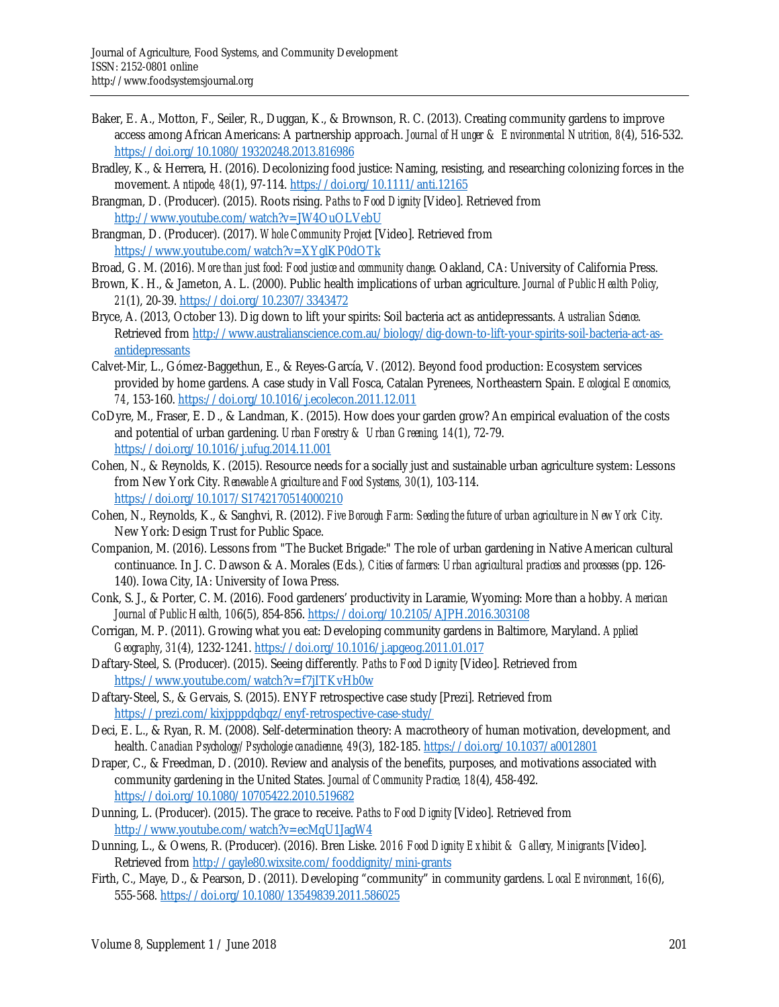- Baker, E. A., Motton, F., Seiler, R., Duggan, K., & Brownson, R. C. (2013). Creating community gardens to improve access among African Americans: A partnership approach. *Journal of Hunger & Environmental Nutrition, 8*(4), 516-532. https://doi.org/10.1080/19320248.2013.816986
- Bradley, K., & Herrera, H. (2016). Decolonizing food justice: Naming, resisting, and researching colonizing forces in the movement. *Antipode, 48*(1), 97-114. https://doi.org/10.1111/anti.12165
- Brangman, D. (Producer). (2015). Roots rising. *Paths to Food Dignity* [Video]. Retrieved from http://www.youtube.com/watch?v=JW4OuOLVebU
- Brangman, D. (Producer). (2017). *Whole Community Project* [Video]. Retrieved from https://www.youtube.com/watch?v=XYglKP0dOTk
- Broad, G. M. (2016). *More than just food: Food justice and community change*. Oakland, CA: University of California Press.
- Brown, K. H., & Jameton, A. L. (2000). Public health implications of urban agriculture. *Journal of Public Health Policy*, *21*(1), 20-39. https://doi.org/10.2307/3343472
- Bryce, A. (2013, October 13). Dig down to lift your spirits: Soil bacteria act as antidepressants. *Australian Science*. [Retrieved from http://www.australianscience.com.au/biology/dig-down-to-lift-your-spirits-soil-bacteria-act-as](http://www.australianscience.com.au/biology/dig-down-to-lift-your-spirits-soil-bacteria-act-asantidepressants)antidepressants
- Calvet-Mir, L., Gómez-Baggethun, E., & Reyes-García, V. (2012). Beyond food production: Ecosystem services provided by home gardens. A case study in Vall Fosca, Catalan Pyrenees, Northeastern Spain. *Ecological Economics, 74*, 153-160. https://doi.org/10.1016/j.ecolecon.2011.12.011
- CoDyre, M., Fraser, E. D., & Landman, K. (2015). How does your garden grow? An empirical evaluation of the costs and potential of urban gardening. *Urban Forestry & Urban Greening, 14*(1), 72-79. https://doi.org/10.1016/j.ufug.2014.11.001
- Cohen, N., & Reynolds, K. (2015). Resource needs for a socially just and sustainable urban agriculture system: Lessons from New York City. *Renewable Agriculture and Food Systems, 30*(1), 103-114. https://doi.org/10.1017/S1742170514000210
- Cohen, N., Reynolds, K., & Sanghvi, R. (2012). *Five Borough Farm: Seeding the future of urban agriculture in New York City*. New York: Design Trust for Public Space.
- Companion, M. (2016). Lessons from "The Bucket Brigade:" The role of urban gardening in Native American cultural continuance. In J. C. Dawson & A. Morales (Eds*.*)*, Cities of farmers: Urban agricultural practices and processes* (pp. 126- 140). Iowa City, IA: University of Iowa Press.
- Conk, S. J., & Porter, C. M. (2016). Food gardeners' productivity in Laramie, Wyoming: More than a hobby. *American Journal of Public Health, 10*6(5), 854-856. https://doi.org/10.2105/AJPH.2016.303108
- Corrigan, M. P. (2011). Growing what you eat: Developing community gardens in Baltimore, Maryland. *Applied Geography*, *31*(4), 1232-1241. https://doi.org/10.1016/j.apgeog.2011.01.017
- Daftary-Steel, S. (Producer). (2015). Seeing differently*. Paths to Food Dignity* [Video]. Retrieved from https://www.youtube.com/watch?v=f7jITKvHb0w
- Daftary-Steel, S., & Gervais, S. (2015). ENYF retrospective case study [Prezi]. Retrieved from https://prezi.com/kixjpppdqbqz/enyf-retrospective-case-study/
- Deci, E. L., & Ryan, R. M. (2008). Self-determination theory: A macrotheory of human motivation, development, and health. *Canadian Psychology/Psychologie canadienne, 49*(3), 182-185. https://doi.org/10.1037/a0012801
- Draper, C., & Freedman, D. (2010). Review and analysis of the benefits, purposes, and motivations associated with community gardening in the United States. *Journal of Community Practice, 18*(4), 458-492. https://doi.org/10.1080/10705422.2010.519682
- Dunning, L. (Producer). (2015). The grace to receive. *Paths to Food Dignity* [Video]. Retrieved from http://www.youtube.com/watch?v=ecMqU1JagW4
- Dunning, L., & Owens, R. (Producer). (2016). Bren Liske. *2016 Food Dignity Exhibit & Gallery, Minigrants* [Video]. Retrieved from http://gayle80.wixsite.com/fooddignity/mini-grants
- Firth, C., Maye, D., & Pearson, D. (2011). Developing "community" in community gardens. *Local Environment, 16*(6), 555-568. https://doi.org/10.1080/13549839.2011.586025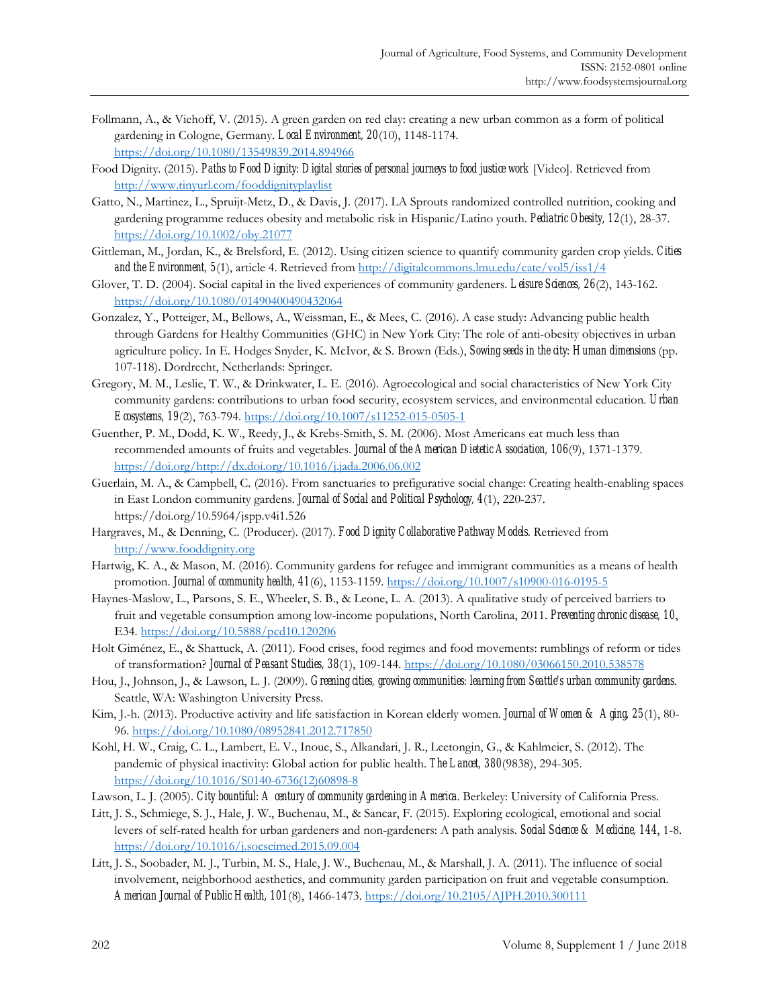- Follmann, A., & Viehoff, V. (2015). A green garden on red clay: creating a new urban common as a form of political gardening in Cologne, Germany. *Local Environment, 20*(10), 1148-1174. https://doi.org/10.1080/13549839.2014.894966
- Food Dignity. (2015). *Paths to Food Dignity: Digital stories of personal journeys to food justice work* [Video]. Retrieved from http://www.tinyurl.com/fooddignityplaylist
- Gatto, N., Martinez, L., Spruijt-Metz, D., & Davis, J. (2017). LA Sprouts randomized controlled nutrition, cooking and gardening programme reduces obesity and metabolic risk in Hispanic/Latino youth. *Pediatric Obesity, 12*(1), 28-37. https://doi.org/10.1002/oby.21077
- Gittleman, M., Jordan, K., & Brelsford, E. (2012). Using citizen science to quantify community garden crop yields. *Cities and the Environment, 5*(1), article 4. Retrieved from http://digitalcommons.lmu.edu/cate/vol5/iss1/4
- Glover, T. D. (2004). Social capital in the lived experiences of community gardeners. *Leisure Sciences, 26*(2), 143-162. https://doi.org/10.1080/01490400490432064
- Gonzalez, Y., Potteiger, M., Bellows, A., Weissman, E., & Mees, C. (2016). A case study: Advancing public health through Gardens for Healthy Communities (GHC) in New York City: The role of anti-obesity objectives in urban agriculture policy. In E. Hodges Snyder, K. McIvor, & S. Brown (Eds.), *Sowing seeds in the city: Human dimensions* (pp. 107-118). Dordrecht, Netherlands: Springer.
- Gregory, M. M., Leslie, T. W., & Drinkwater, L. E. (2016). Agroecological and social characteristics of New York City community gardens: contributions to urban food security, ecosystem services, and environmental education. *Urban Ecosystems, 19*(2), 763-794. https://doi.org/10.1007/s11252-015-0505-1
- Guenther, P. M., Dodd, K. W., Reedy, J., & Krebs-Smith, S. M. (2006). Most Americans eat much less than recommended amounts of fruits and vegetables. *Journal of the American Dietetic Association, 106*(9), 1371-1379. https://doi.org/http://dx.doi.org/10.1016/j.jada.2006.06.002
- Guerlain, M. A., & Campbell, C. (2016). From sanctuaries to prefigurative social change: Creating health-enabling spaces in East London community gardens. *Journal of Social and Political Psychology, 4*(1), 220-237. https://doi.org/10.5964/jspp.v4i1.526
- Hargraves, M., & Denning, C. (Producer). (2017). *Food Dignity Collaborative Pathway Models*. Retrieved from http://www.fooddignity.org
- Hartwig, K. A., & Mason, M. (2016). Community gardens for refugee and immigrant communities as a means of health promotion. *Journal of community health, 41*(6), 1153-1159. https://doi.org/10.1007/s10900-016-0195-5
- Haynes-Maslow, L., Parsons, S. E., Wheeler, S. B., & Leone, L. A. (2013). A qualitative study of perceived barriers to fruit and vegetable consumption among low-income populations, North Carolina, 2011. *Preventing chronic disease, 10*, E34. https://doi.org/10.5888/pcd10.120206
- Holt Giménez, E., & Shattuck, A. (2011). Food crises, food regimes and food movements: rumblings of reform or tides of transformation? *Journal of Peasant Studies, 38*(1), 109-144. https://doi.org/10.1080/03066150.2010.538578
- Hou, J., Johnson, J., & Lawson, L. J. (2009). *Greening cities, growing communities: learning from Seattle's urban community gardens*. Seattle, WA: Washington University Press.
- Kim, J.-h. (2013). Productive activity and life satisfaction in Korean elderly women. *Journal of Women & Aging, 25*(1), 80- 96. https://doi.org/10.1080/08952841.2012.717850
- Kohl, H. W., Craig, C. L., Lambert, E. V., Inoue, S., Alkandari, J. R., Leetongin, G., & Kahlmeier, S. (2012). The pandemic of physical inactivity: Global action for public health. *The Lancet, 380*(9838), 294-305. [https://doi.org/10.1016/S0140-6736\(12\)60898-8](https://doi.org/10.1016/S0140-6736(12)60898-8)
- Lawson, L. J. (2005). *City bountiful: A century of community gardening in America*. Berkeley: University of California Press.
- Litt, J. S., Schmiege, S. J., Hale, J. W., Buchenau, M., & Sancar, F. (2015). Exploring ecological, emotional and social levers of self-rated health for urban gardeners and non-gardeners: A path analysis. *Social Science & Medicine, 144*, 1-8. https://doi.org/10.1016/j.socscimed.2015.09.004
- Litt, J. S., Soobader, M. J., Turbin, M. S., Hale, J. W., Buchenau, M., & Marshall, J. A. (2011). The influence of social involvement, neighborhood aesthetics, and community garden participation on fruit and vegetable consumption. *American Journal of Public Health, 101*(8), 1466-1473. https://doi.org/10.2105/AJPH.2010.300111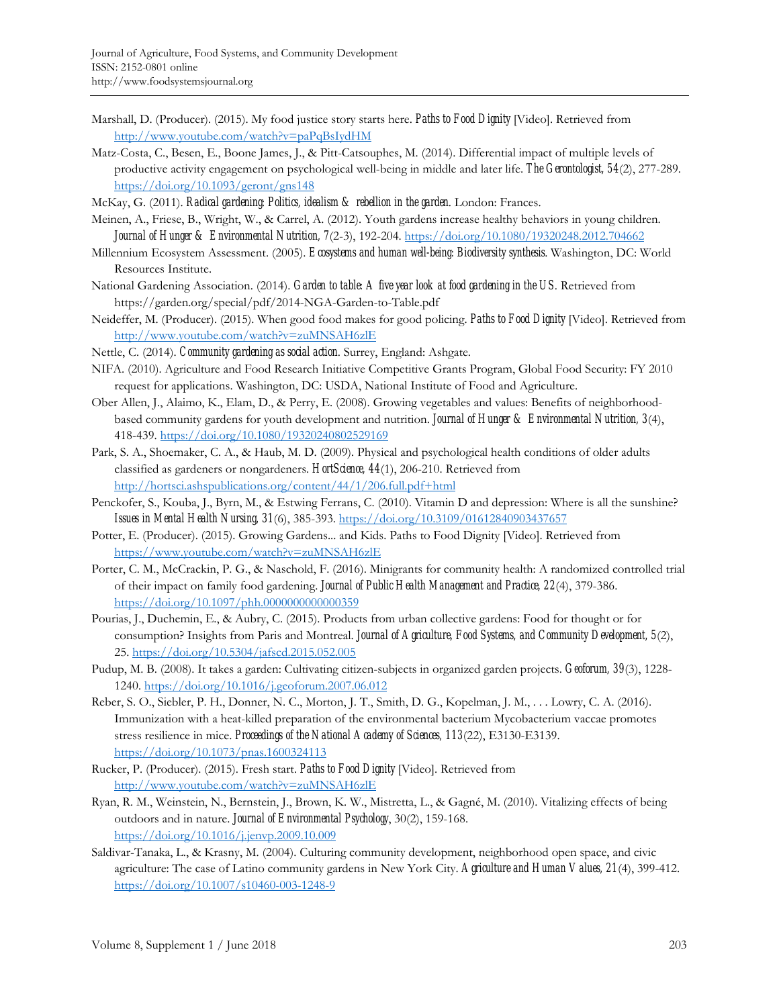- Marshall, D. (Producer). (2015). My food justice story starts here. *Paths to Food Dignity* [Video]. Retrieved from http://www.youtube.com/watch?v=paPqBsIydHM
- Matz-Costa, C., Besen, E., Boone James, J., & Pitt-Catsouphes, M. (2014). Differential impact of multiple levels of productive activity engagement on psychological well-being in middle and later life. *The Gerontologist, 54*(2), 277-289. https://doi.org/10.1093/geront/gns148
- McKay, G. (2011). *Radical gardening: Politics, idealism & rebellion in the garden*. London: Frances.
- Meinen, A., Friese, B., Wright, W., & Carrel, A. (2012). Youth gardens increase healthy behaviors in young children. *Journal of Hunger & Environmental Nutrition, 7*(2-3), 192-204. https://doi.org/10.1080/19320248.2012.704662
- Millennium Ecosystem Assessment. (2005). *Ecosystems and human well-being: Biodiversity synthesis*. Washington, DC: World Resources Institute.
- National Gardening Association. (2014). *Garden to table: A five year look at food gardening in the US*. Retrieved from https://garden.org/special/pdf/2014-NGA-Garden-to-Table.pdf
- Neideffer, M. (Producer). (2015). When good food makes for good policing. *Paths to Food Dignity* [Video]. Retrieved from http://www.youtube.com/watch?v=zuMNSAH6zlE
- Nettle, C. (2014). *Community gardening as social action*. Surrey, England: Ashgate.
- NIFA. (2010). Agriculture and Food Research Initiative Competitive Grants Program, Global Food Security: FY 2010 request for applications. Washington, DC: USDA, National Institute of Food and Agriculture.
- Ober Allen, J., Alaimo, K., Elam, D., & Perry, E. (2008). Growing vegetables and values: Benefits of neighborhoodbased community gardens for youth development and nutrition. *Journal of Hunger & Environmental Nutrition, 3*(4), 418-439. https://doi.org/10.1080/19320240802529169
- Park, S. A., Shoemaker, C. A., & Haub, M. D. (2009). Physical and psychological health conditions of older adults classified as gardeners or nongardeners. *HortScience, 44*(1), 206-210. Retrieved from http://hortsci.ashspublications.org/content/44/1/206.full.pdf+html
- Penckofer, S., Kouba, J., Byrn, M., & Estwing Ferrans, C. (2010). Vitamin D and depression: Where is all the sunshine? *Issues in Mental Health Nursing, 31*(6), 385-393. https://doi.org/10.3109/01612840903437657
- Potter, E. (Producer). (2015). Growing Gardens... and Kids. Paths to Food Dignity [Video]. Retrieved from https://www.youtube.com/watch?v=zuMNSAH6zlE
- Porter, C. M., McCrackin, P. G., & Naschold, F. (2016). Minigrants for community health: A randomized controlled trial of their impact on family food gardening. *Journal of Public Health Management and Practice, 22*(4), 379-386. https://doi.org/10.1097/phh.0000000000000359
- Pourias, J., Duchemin, E., & Aubry, C. (2015). Products from urban collective gardens: Food for thought or for consumption? Insights from Paris and Montreal. *Journal of Agriculture, Food Systems, and Community Development, 5*(2), 25. https://doi.org/10.5304/jafscd.2015.052.005
- Pudup, M. B. (2008). It takes a garden: Cultivating citizen-subjects in organized garden projects. *Geoforum, 39*(3), 1228- 1240. https://doi.org/10.1016/j.geoforum.2007.06.012
- Reber, S. O., Siebler, P. H., Donner, N. C., Morton, J. T., Smith, D. G., Kopelman, J. M., . . . Lowry, C. A. (2016). Immunization with a heat-killed preparation of the environmental bacterium Mycobacterium vaccae promotes stress resilience in mice. *Proceedings of the National Academy of Sciences, 113*(22), E3130-E3139. https://doi.org/10.1073/pnas.1600324113
- Rucker, P. (Producer). (2015). Fresh start. *Paths to Food Dignity* [Video]. Retrieved from http://www.youtube.com/watch?v=zuMNSAH6zlE
- Ryan, R. M., Weinstein, N., Bernstein, J., Brown, K. W., Mistretta, L., & Gagné, M. (2010). Vitalizing effects of being outdoors and in nature. *Journal of Environmental Psychology*, 30(2), 159-168. https://doi.org/10.1016/j.jenvp.2009.10.009
- Saldivar-Tanaka, L., & Krasny, M. (2004). Culturing community development, neighborhood open space, and civic agriculture: The case of Latino community gardens in New York City. *Agriculture and Human Values, 21*(4), 399-412. https://doi.org/10.1007/s10460-003-1248-9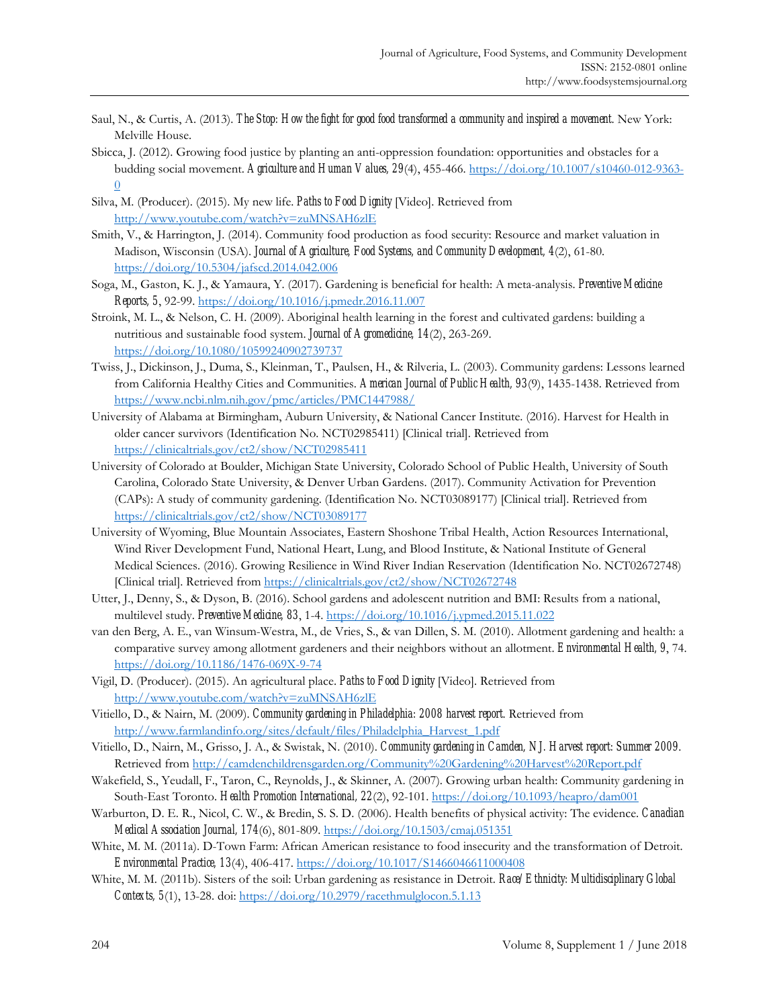- Saul, N., & Curtis, A. (2013). *The Stop: How the fight for good food transformed a community and inspired a movement*. New York: Melville House.
- Sbicca, J. (2012). Growing food justice by planting an anti-oppression foundation: opportunities and obstacles for a budding social movement. *Agriculture and Human Values, 29*(4), 455-466. https://doi.org/10.1007/s10460-012-9363- 0

Silva, M. (Producer). (2015). My new life. *Paths to Food Dignity* [Video]. Retrieved from http://www.youtube.com/watch?v=zuMNSAH6zlE

- Smith, V., & Harrington, J. (2014). Community food production as food security: Resource and market valuation in Madison, Wisconsin (USA). *Journal of Agriculture, Food Systems, and Community Development, 4*(2), 61-80. https://doi.org/10.5304/jafscd.2014.042.006
- Soga, M., Gaston, K. J., & Yamaura, Y. (2017). Gardening is beneficial for health: A meta-analysis. *Preventive Medicine Reports, 5*, 92-99. https://doi.org/10.1016/j.pmedr.2016.11.007
- Stroink, M. L., & Nelson, C. H. (2009). Aboriginal health learning in the forest and cultivated gardens: building a nutritious and sustainable food system. *Journal of Agromedicine, 14*(2), 263-269. https://doi.org/10.1080/10599240902739737
- Twiss, J., Dickinson, J., Duma, S., Kleinman, T., Paulsen, H., & Rilveria, L. (2003). Community gardens: Lessons learned from California Healthy Cities and Communities. *American Journal of Public Health, 93*(9), 1435-1438. Retrieved from https://www.ncbi.nlm.nih.gov/pmc/articles/PMC1447988/
- University of Alabama at Birmingham, Auburn University, & National Cancer Institute. (2016). Harvest for Health in older cancer survivors (Identification No. NCT02985411) [Clinical trial]. Retrieved from https://clinicaltrials.gov/ct2/show/NCT02985411
- University of Colorado at Boulder, Michigan State University, Colorado School of Public Health, University of South Carolina, Colorado State University, & Denver Urban Gardens. (2017). Community Activation for Prevention (CAPs): A study of community gardening. (Identification No. NCT03089177) [Clinical trial]. Retrieved from https://clinicaltrials.gov/ct2/show/NCT03089177
- University of Wyoming, Blue Mountain Associates, Eastern Shoshone Tribal Health, Action Resources International, Wind River Development Fund, National Heart, Lung, and Blood Institute, & National Institute of General Medical Sciences. (2016). Growing Resilience in Wind River Indian Reservation (Identification No. NCT02672748) [Clinical trial]. Retrieved from https://clinicaltrials.gov/ct2/show/NCT02672748
- Utter, J., Denny, S., & Dyson, B. (2016). School gardens and adolescent nutrition and BMI: Results from a national, multilevel study. *Preventive Medicine, 83*, 1-4. https://doi.org/10.1016/j.ypmed.2015.11.022
- van den Berg, A. E., van Winsum-Westra, M., de Vries, S., & van Dillen, S. M. (2010). Allotment gardening and health: a comparative survey among allotment gardeners and their neighbors without an allotment. *Environmental Health, 9*, 74. https://doi.org/10.1186/1476-069X-9-74
- Vigil, D. (Producer). (2015). An agricultural place. *Paths to Food Dignity* [Video]. Retrieved from http://www.youtube.com/watch?v=zuMNSAH6zlE
- Vitiello, D., & Nairn, M. (2009). *Community gardening in Philadelphia: 2008 harvest report*. Retrieved from http://www.farmlandinfo.org/sites/default/files/Philadelphia\_Harvest\_1.pdf
- Vitiello, D., Nairn, M., Grisso, J. A., & Swistak, N. (2010). *Community gardening in Camden, NJ. Harvest report: Summer 2009*. Retrieved from http://camdenchildrensgarden.org/Community%20Gardening%20Harvest%20Report.pdf
- Wakefield, S., Yeudall, F., Taron, C., Reynolds, J., & Skinner, A. (2007). Growing urban health: Community gardening in South-East Toronto. *Health Promotion International, 22*(2), 92-101. https://doi.org/10.1093/heapro/dam001
- Warburton, D. E. R., Nicol, C. W., & Bredin, S. S. D. (2006). Health benefits of physical activity: The evidence. *Canadian Medical Association Journal, 174*(6), 801-809. https://doi.org/10.1503/cmaj.051351
- White, M. M. (2011a). D-Town Farm: African American resistance to food insecurity and the transformation of Detroit. *Environmental Practice, 13*(4), 406-417. https://doi.org/10.1017/S1466046611000408
- White, M. M. (2011b). Sisters of the soil: Urban gardening as resistance in Detroit. *Race/Ethnicity: Multidisciplinary Global Contexts, 5*(1), 13-28. doi: https://doi.org/10.2979/racethmulglocon.5.1.13